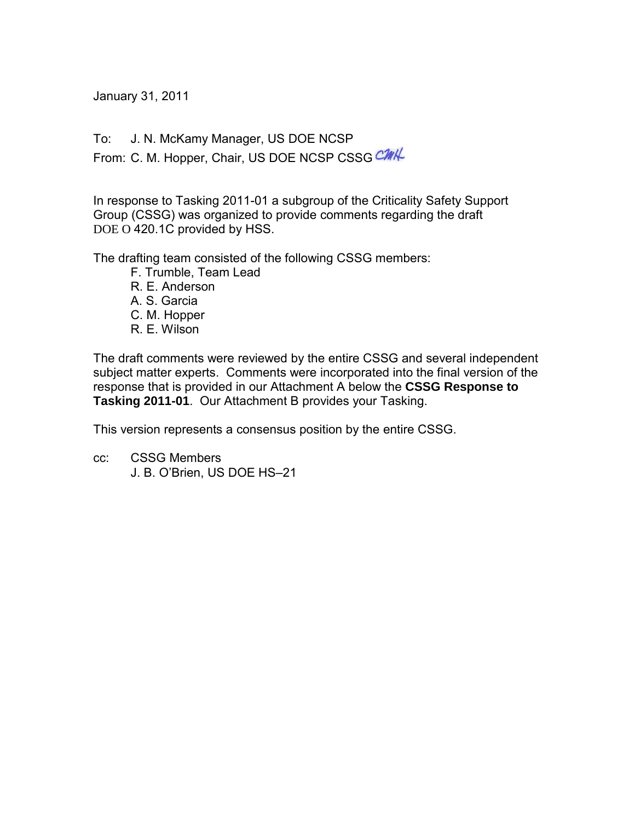January 31, 2011

To: J. N. McKamy Manager, US DOE NCSP

From: C. M. Hopper, Chair, US DOE NCSP CSSG CMK

In response to Tasking 2011-01 a subgroup of the Criticality Safety Support Group (CSSG) was organized to provide comments regarding the draft DOE O 420.1C provided by HSS.

The drafting team consisted of the following CSSG members:

- F. Trumble, Team Lead
- R. E. Anderson
- A. S. Garcia
- C. M. Hopper
- R. E. Wilson

The draft comments were reviewed by the entire CSSG and several independent subject matter experts. Comments were incorporated into the final version of the response that is provided in our Attachment A below the **CSSG Response to Tasking 2011-01**. Our Attachment B provides your Tasking.

This version represents a consensus position by the entire CSSG.

cc: CSSG Members J. B. O'Brien, US DOE HS–21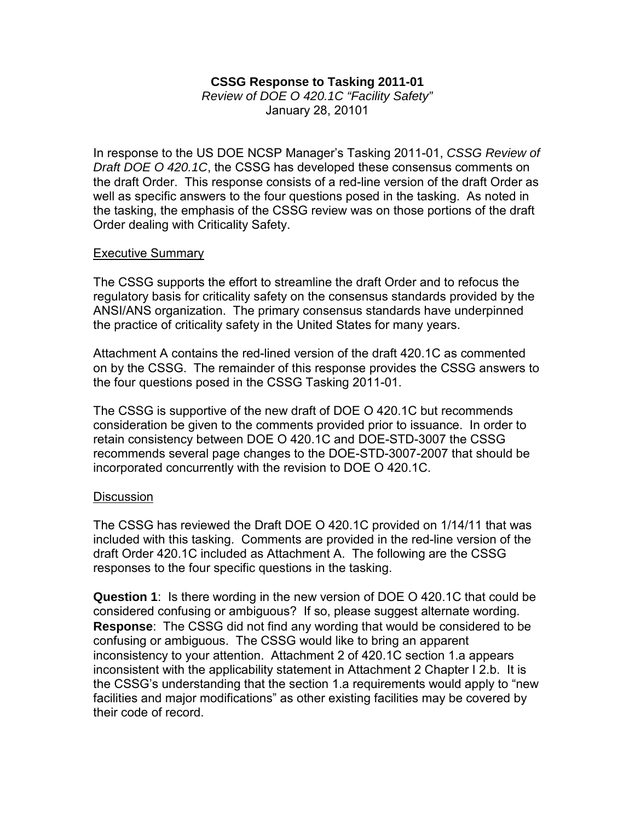## **CSSG Response to Tasking 2011-01**

*Review of DOE O 420.1C "Facility Safety"* January 28, 20101

In response to the US DOE NCSP Manager's Tasking 2011-01, *CSSG Review of Draft DOE O 420.1C*, the CSSG has developed these consensus comments on the draft Order. This response consists of a red-line version of the draft Order as well as specific answers to the four questions posed in the tasking. As noted in the tasking, the emphasis of the CSSG review was on those portions of the draft Order dealing with Criticality Safety.

## Executive Summary

The CSSG supports the effort to streamline the draft Order and to refocus the regulatory basis for criticality safety on the consensus standards provided by the ANSI/ANS organization. The primary consensus standards have underpinned the practice of criticality safety in the United States for many years.

Attachment A contains the red-lined version of the draft 420.1C as commented on by the CSSG. The remainder of this response provides the CSSG answers to the four questions posed in the CSSG Tasking 2011-01.

The CSSG is supportive of the new draft of DOE O 420.1C but recommends consideration be given to the comments provided prior to issuance. In order to retain consistency between DOE O 420.1C and DOE-STD-3007 the CSSG recommends several page changes to the DOE-STD-3007-2007 that should be incorporated concurrently with the revision to DOE O 420.1C.

## **Discussion**

The CSSG has reviewed the Draft DOE O 420.1C provided on 1/14/11 that was included with this tasking. Comments are provided in the red-line version of the draft Order 420.1C included as Attachment A. The following are the CSSG responses to the four specific questions in the tasking.

**Question 1**: Is there wording in the new version of DOE O 420.1C that could be considered confusing or ambiguous? If so, please suggest alternate wording. **Response**: The CSSG did not find any wording that would be considered to be confusing or ambiguous. The CSSG would like to bring an apparent inconsistency to your attention. Attachment 2 of 420.1C section 1.a appears inconsistent with the applicability statement in Attachment 2 Chapter I 2.b. It is the CSSG's understanding that the section 1.a requirements would apply to "new facilities and major modifications" as other existing facilities may be covered by their code of record.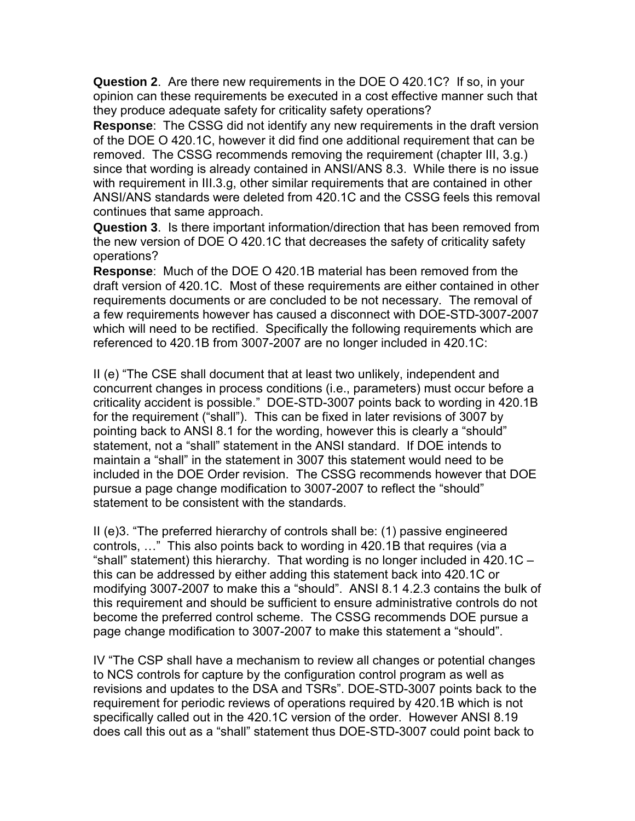**Question 2**. Are there new requirements in the DOE O 420.1C? If so, in your opinion can these requirements be executed in a cost effective manner such that they produce adequate safety for criticality safety operations?

**Response**: The CSSG did not identify any new requirements in the draft version of the DOE O 420.1C, however it did find one additional requirement that can be removed. The CSSG recommends removing the requirement (chapter III, 3.g.) since that wording is already contained in ANSI/ANS 8.3. While there is no issue with requirement in III.3.g, other similar requirements that are contained in other ANSI/ANS standards were deleted from 420.1C and the CSSG feels this removal continues that same approach.

**Question 3**. Is there important information/direction that has been removed from the new version of DOE O 420.1C that decreases the safety of criticality safety operations?

**Response**: Much of the DOE O 420.1B material has been removed from the draft version of 420.1C. Most of these requirements are either contained in other requirements documents or are concluded to be not necessary. The removal of a few requirements however has caused a disconnect with DOE-STD-3007-2007 which will need to be rectified. Specifically the following requirements which are referenced to 420.1B from 3007-2007 are no longer included in 420.1C:

II (e) "The CSE shall document that at least two unlikely, independent and concurrent changes in process conditions (i.e., parameters) must occur before a criticality accident is possible." DOE-STD-3007 points back to wording in 420.1B for the requirement ("shall"). This can be fixed in later revisions of 3007 by pointing back to ANSI 8.1 for the wording, however this is clearly a "should" statement, not a "shall" statement in the ANSI standard. If DOE intends to maintain a "shall" in the statement in 3007 this statement would need to be included in the DOE Order revision. The CSSG recommends however that DOE pursue a page change modification to 3007-2007 to reflect the "should" statement to be consistent with the standards.

II (e)3. "The preferred hierarchy of controls shall be: (1) passive engineered controls, …" This also points back to wording in 420.1B that requires (via a "shall" statement) this hierarchy. That wording is no longer included in 420.1C – this can be addressed by either adding this statement back into 420.1C or modifying 3007-2007 to make this a "should". ANSI 8.1 4.2.3 contains the bulk of this requirement and should be sufficient to ensure administrative controls do not become the preferred control scheme. The CSSG recommends DOE pursue a page change modification to 3007-2007 to make this statement a "should".

IV "The CSP shall have a mechanism to review all changes or potential changes to NCS controls for capture by the configuration control program as well as revisions and updates to the DSA and TSRs". DOE-STD-3007 points back to the requirement for periodic reviews of operations required by 420.1B which is not specifically called out in the 420.1C version of the order. However ANSI 8.19 does call this out as a "shall" statement thus DOE-STD-3007 could point back to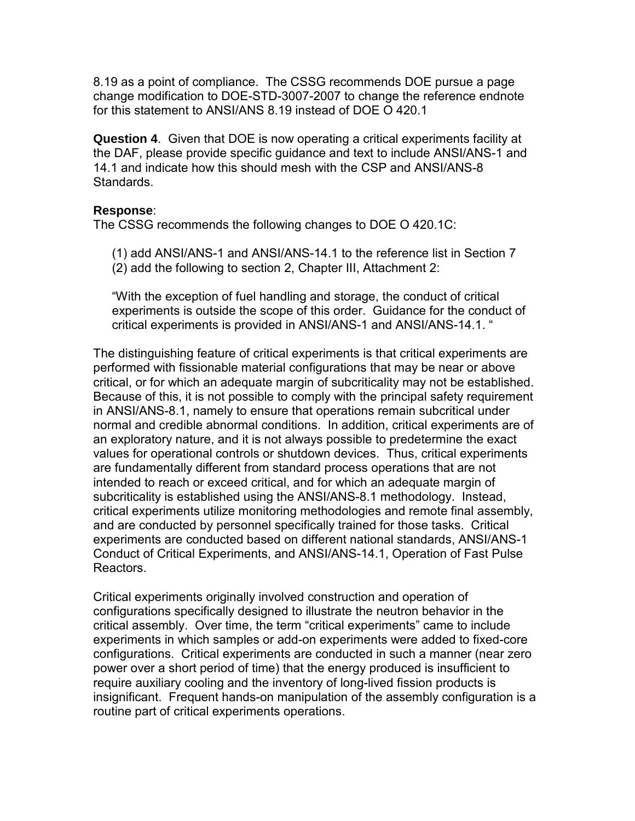8.19 as a point of compliance. The CSSG recommends DOE pursue a page change modification to DOE-STD-3007-2007 to change the reference endnote for this statement to ANSI/ANS 8.19 instead of DOE O 420.1

**Question 4**. Given that DOE is now operating a critical experiments facility at the DAF, please provide specific guidance and text to include ANSI/ANS-1 and 14.1 and indicate how this should mesh with the CSP and ANSI/ANS-8 Standards.

## **Response**:

The CSSG recommends the following changes to DOE O 420.1C:

(1) add ANSI/ANS-1 and ANSI/ANS-14.1 to the reference list in Section 7 (2) add the following to section 2, Chapter III, Attachment 2:

"With the exception of fuel handling and storage, the conduct of critical experiments is outside the scope of this order. Guidance for the conduct of critical experiments is provided in ANSI/ANS-1 and ANSI/ANS-14.1. "

The distinguishing feature of critical experiments is that critical experiments are performed with fissionable material configurations that may be near or above critical, or for which an adequate margin of subcriticality may not be established. Because of this, it is not possible to comply with the principal safety requirement in ANSI/ANS-8.1, namely to ensure that operations remain subcritical under normal and credible abnormal conditions. In addition, critical experiments are of an exploratory nature, and it is not always possible to predetermine the exact values for operational controls or shutdown devices. Thus, critical experiments are fundamentally different from standard process operations that are not intended to reach or exceed critical, and for which an adequate margin of subcriticality is established using the ANSI/ANS-8.1 methodology. Instead, critical experiments utilize monitoring methodologies and remote final assembly, and are conducted by personnel specifically trained for those tasks. Critical experiments are conducted based on different national standards, ANSI/ANS-1 Conduct of Critical Experiments, and ANSI/ANS-14.1, Operation of Fast Pulse Reactors.

Critical experiments originally involved construction and operation of configurations specifically designed to illustrate the neutron behavior in the critical assembly. Over time, the term "critical experiments" came to include experiments in which samples or add-on experiments were added to fixed-core configurations. Critical experiments are conducted in such a manner (near zero power over a short period of time) that the energy produced is insufficient to require auxiliary cooling and the inventory of long-lived fission products is insignificant. Frequent hands-on manipulation of the assembly configuration is a routine part of critical experiments operations.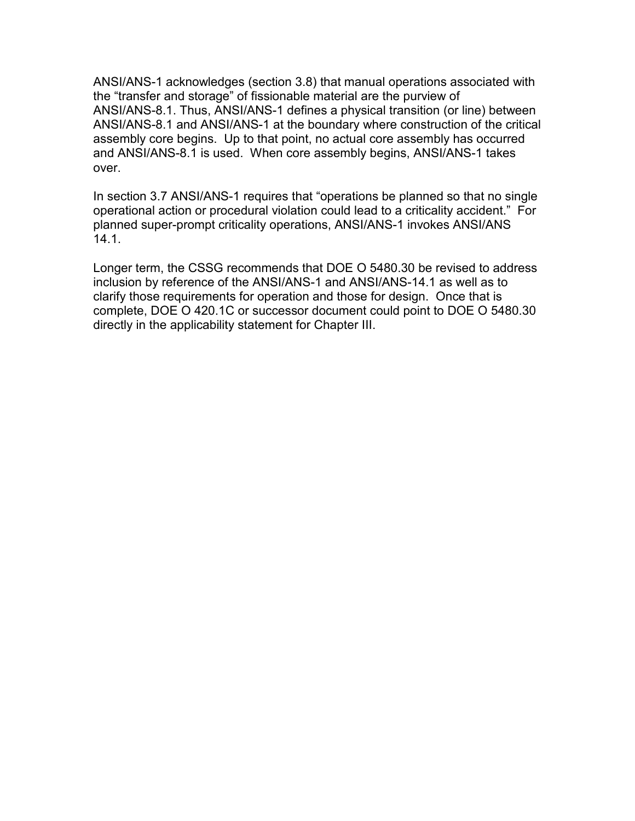ANSI/ANS-1 acknowledges (section 3.8) that manual operations associated with the "transfer and storage" of fissionable material are the purview of ANSI/ANS-8.1. Thus, ANSI/ANS-1 defines a physical transition (or line) between ANSI/ANS-8.1 and ANSI/ANS-1 at the boundary where construction of the critical assembly core begins. Up to that point, no actual core assembly has occurred and ANSI/ANS-8.1 is used. When core assembly begins, ANSI/ANS-1 takes over.

In section 3.7 ANSI/ANS-1 requires that "operations be planned so that no single operational action or procedural violation could lead to a criticality accident." For planned super-prompt criticality operations, ANSI/ANS-1 invokes ANSI/ANS 14.1.

Longer term, the CSSG recommends that DOE O 5480.30 be revised to address inclusion by reference of the ANSI/ANS-1 and ANSI/ANS-14.1 as well as to clarify those requirements for operation and those for design. Once that is complete, DOE O 420.1C or successor document could point to DOE O 5480.30 directly in the applicability statement for Chapter III.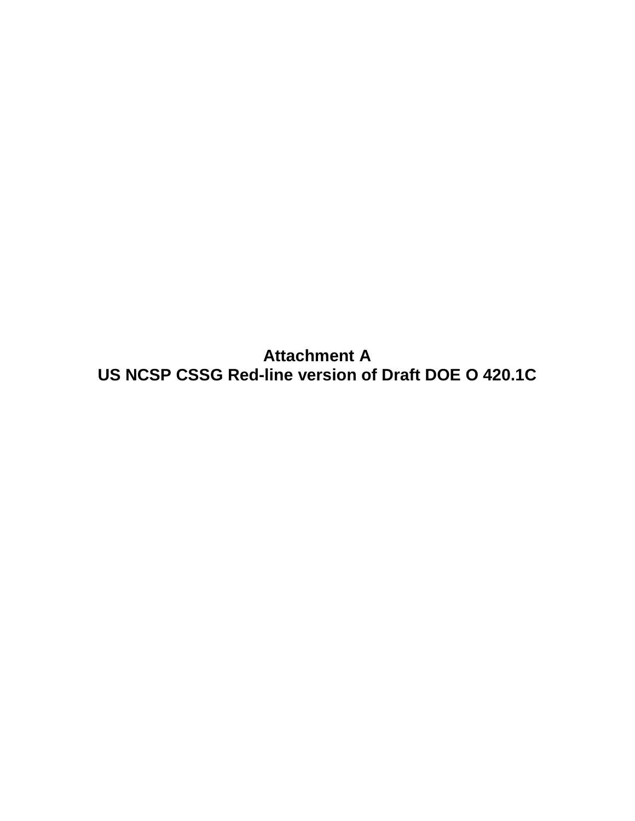**Attachment A US NCSP CSSG Red-line version of Draft DOE O 420.1C**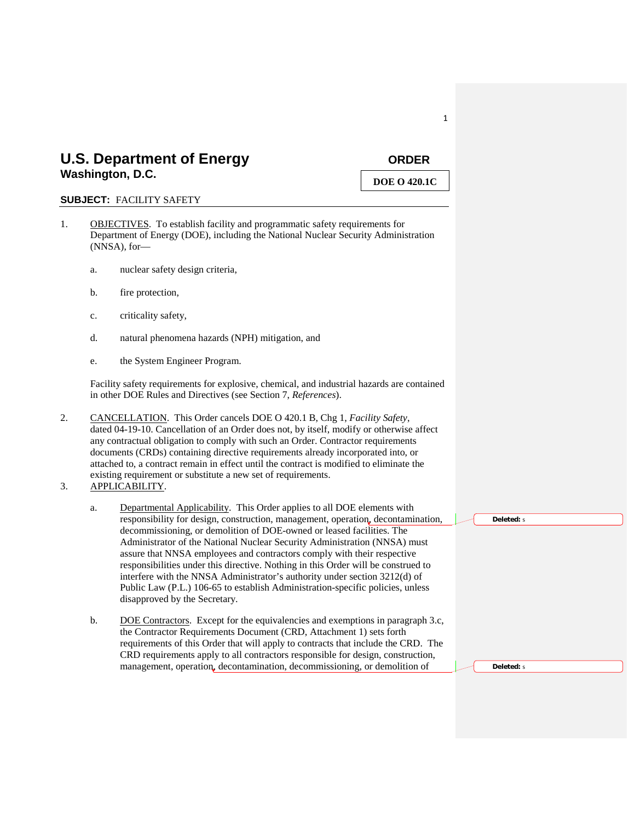## U.S. Department of Energy **CONDER Washington, D.C.**

## **DOE O 420.1C**

#### **SUBJECT:** FACILITY SAFETY

- 1. OBJECTIVES. To establish facility and programmatic safety requirements for Department of Energy (DOE), including the National Nuclear Security Administration (NNSA), for
	- a. nuclear safety design criteria,
	- b. fire protection,
	- c. criticality safety,
	- d. natural phenomena hazards (NPH) mitigation, and
	- e. the System Engineer Program.

Facility safety requirements for explosive, chemical, and industrial hazards are contained in other DOE Rules and Directives (see Section 7, *References*).

- 2. CANCELLATION . This Order cancels DOE O 420.1 B, Chg 1, *Facility Safety*, dated 04-19-10. Cancellation of an Order does not, by itself, modify or otherwise affect any contractual obligation to comply with such an Order. Contractor requirements documents (CRDs) containing directive requirements already incorporated into, or attached to, a contract remain in effect until the contract is modified to eliminate the existing requirement or substitute a new set of requirements.
- 3. APPLICABILITY .
	- a. Departmental Applicability. This Order applies to all DOE elements with responsibility for design, construction, management, operation, decontamination, decommissioning, or demolition of DOE-owned or leased facilities. The Administrator of the National Nuclear Security Administration (NNSA) must assure that NNSA employees and contractors comply with their respective responsibilities under this directive. Nothing in this Order will be construed to interfere with the NNSA Administrator's authority under section 3212(d) of Public Law (P.L.) 106-65 to establish Administration-specific policies, unless disapproved by the Secretary.
	- b. DOE Contractors. Except for the equivalencies and exemptions in paragraph 3.c, the Contractor Requirements Document (CRD, Attachment 1) sets forth requirements of this Order that will apply to contracts that include the CRD. The CRD requirements apply to all contractors responsible for design, construction, management, operation, decontamination, decommissioning, or demolition of

**Deleted:** s

**Deleted:** s

1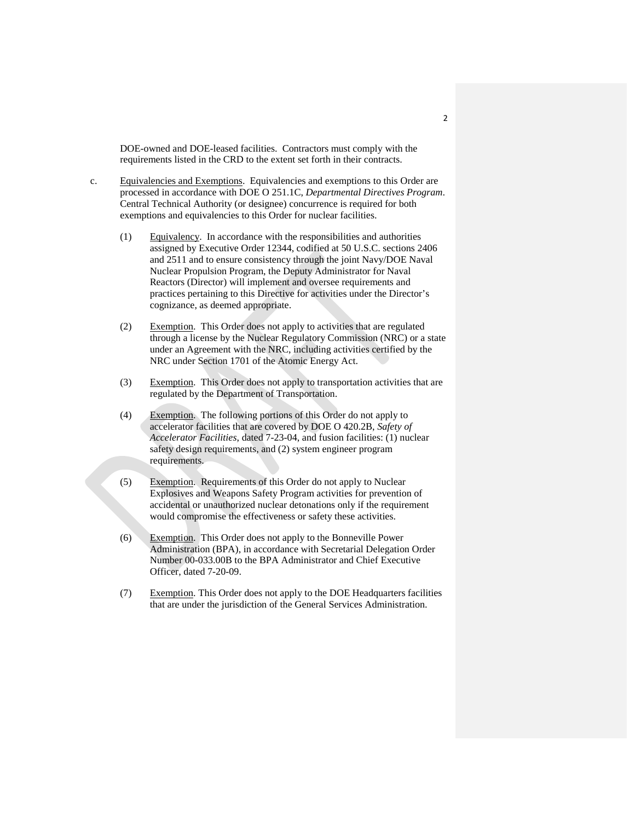DOE-owned and DOE-leased facilities. Contractors must comply with the requirements listed in the CRD to the extent set forth in their contracts.

- c. Equivalencies and Exemptions. Equivalencies and exemptions to this Order are processed in accordance with DOE O 251.1C, *Departmental Directives Program*. Central Technical Authority (or designee) concurrence is required for both exemptions and equivalencies to this Order for nuclear facilities.
	- (1) Equivalency . In accordance with the responsibilities and authorities assigned by Executive Order 12344, codified at 50 U.S.C. sections 2406 and 2511 and to ensure consistency through the joint Navy/DOE Naval Nuclear Propulsion Program, the Deputy Administrator for Naval Reactors (Director) will implement and oversee requirements and practices pertaining to this Directive for activities under the Director's cognizance, as deemed appropriate.
	- (2) Exemption. This Order does not apply to activities that are regulated through a license by the Nuclear Regulatory Commission (NRC) or a state under an Agreement with the NRC, including activities certified by the NRC under Section 1701 of the Atomic Energy Act.
	- (3) Exemption. This Order does not apply to transportation activities that are regulated by the Department of Transportation.
	- (4) Exemption. The following portions of this Order do not apply to accelerator facilities that are covered by DOE O 420.2B, *Safety of Accelerator Facilities*, dated 7-23-04, and fusion facilities: (1) nuclear safety design requirements, and (2) system engineer program requirements.
	- (5) Exemption. Requirements of this Order do not apply to Nuclear Explosives and Weapons Safety Program activities for prevention of accidental or unauthorized nuclear detonations only if the requirement would compromise the effectiveness or safety these activities.
	- (6) Exemption. This Order does not apply to the Bonneville Power Administration (BPA), in accordance with Secretarial Delegation Order Number 00-033.00B to the BPA Administrator and Chief Executive Officer, dated 7-20-09.
	- (7) Exemption. This Order does not apply to the DOE Headquarters facilities that are under the jurisdiction of the General Services Administration.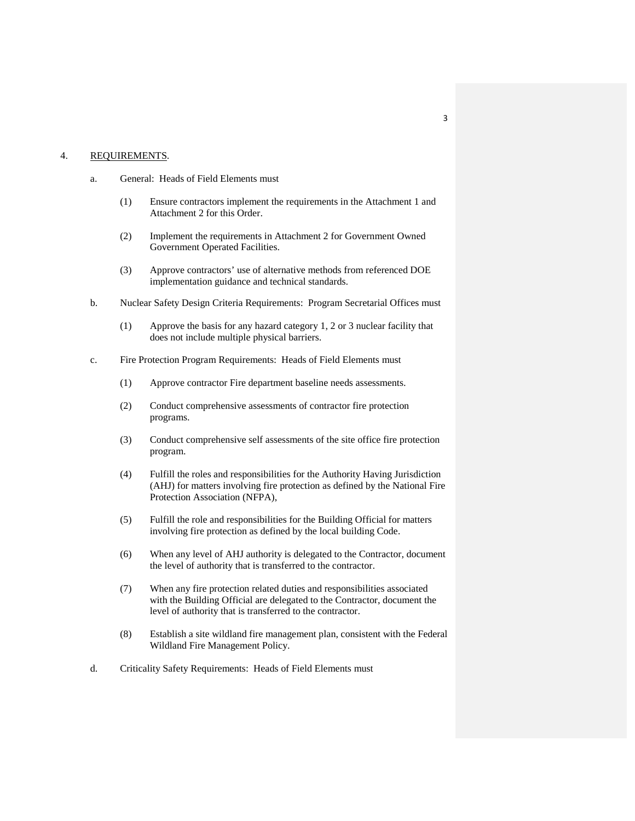#### 4. REQUIREMENTS.

- a. General: Heads of Field Elements must
	- (1) Ensure contractors implement the requirements in the Attachment 1 and Attachment 2 for this Order.
	- (2) Implement the requirements in Attachment 2 for Government Owned Government Operated Facilities.
	- (3) Approve contractors' use of alternative methods from referenced DOE implementation guidance and technical standards.
- b. Nuclear Safety Design Criteria Requirements: Program Secretarial Offices must
	- (1) Approve the basis for any hazard category 1, 2 or 3 nuclear facility that does not include multiple physical barriers.
- c. Fire Protection Program Requirements: Heads of Field Elements must
	- (1) Approve contractor Fire department baseline needs assessments.
	- (2) Conduct comprehensive assessments of contractor fire protection programs.
	- (3) Conduct comprehensive self assessments of the site office fire protection program.
	- (4) Fulfill the roles and responsibilities for the Authority Having Jurisdiction (AHJ) for matters involving fire protection as defined by the National Fire Protection Association (NFPA),
	- (5) Fulfill the role and responsibilities for the Building Official for matters involving fire protection as defined by the local building Code.
	- (6) When any level of AHJ authority is delegated to the Contractor, document the level of authority that is transferred to the contractor.
	- (7) When any fire protection related duties and responsibilities associated with the Building Official are delegated to the Contractor, document the level of authority that is transferred to the contractor.
	- (8) Establish a site wildland fire management plan, consistent with the Federal Wildland Fire Management Policy.
- d. Criticality Safety Requirements: Heads of Field Elements must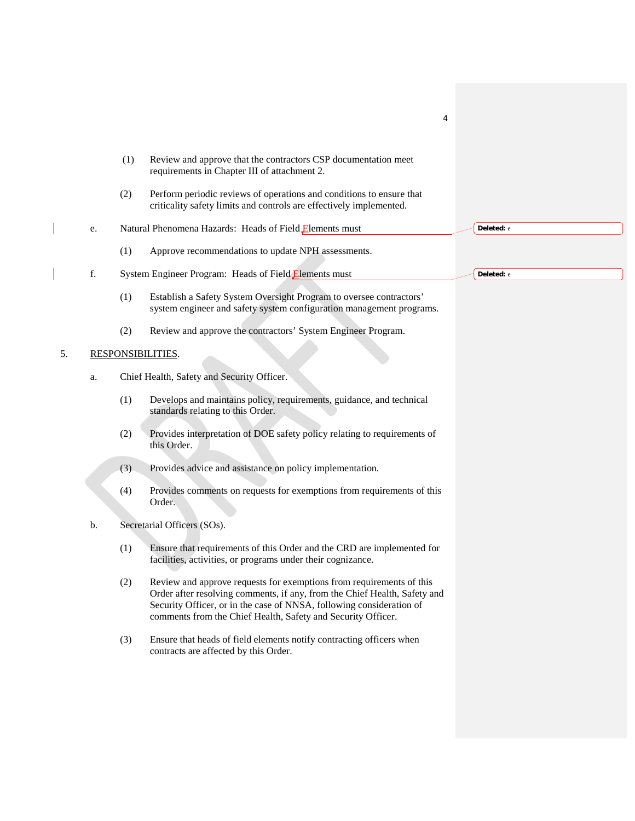|    |    |                                            | 4                                                                                                                                                                                                                                                                                         |  |            |  |
|----|----|--------------------------------------------|-------------------------------------------------------------------------------------------------------------------------------------------------------------------------------------------------------------------------------------------------------------------------------------------|--|------------|--|
|    |    | (1)                                        | Review and approve that the contractors CSP documentation meet<br>requirements in Chapter III of attachment 2.                                                                                                                                                                            |  |            |  |
|    |    | (2)                                        | Perform periodic reviews of operations and conditions to ensure that<br>criticality safety limits and controls are effectively implemented.                                                                                                                                               |  |            |  |
|    | e. |                                            | Natural Phenomena Hazards: Heads of Field Elements must                                                                                                                                                                                                                                   |  | Deleted: e |  |
|    |    | (1)                                        | Approve recommendations to update NPH assessments.                                                                                                                                                                                                                                        |  |            |  |
|    | f. |                                            | System Engineer Program: Heads of Field Elements must                                                                                                                                                                                                                                     |  | Deleted: e |  |
|    |    | (1)                                        | Establish a Safety System Oversight Program to oversee contractors'<br>system engineer and safety system configuration management programs.                                                                                                                                               |  |            |  |
|    |    | (2)                                        | Review and approve the contractors' System Engineer Program.                                                                                                                                                                                                                              |  |            |  |
| 5. |    | RESPONSIBILITIES.                          |                                                                                                                                                                                                                                                                                           |  |            |  |
|    | a. | Chief Health, Safety and Security Officer. |                                                                                                                                                                                                                                                                                           |  |            |  |
|    |    | (1)                                        | Develops and maintains policy, requirements, guidance, and technical<br>standards relating to this Order.                                                                                                                                                                                 |  |            |  |
|    |    | (2)                                        | Provides interpretation of DOE safety policy relating to requirements of<br>this Order.                                                                                                                                                                                                   |  |            |  |
|    |    | (3)                                        | Provides advice and assistance on policy implementation.                                                                                                                                                                                                                                  |  |            |  |
|    |    | (4)                                        | Provides comments on requests for exemptions from requirements of this<br>Order.                                                                                                                                                                                                          |  |            |  |
|    | b. |                                            | Secretarial Officers (SOs).                                                                                                                                                                                                                                                               |  |            |  |
|    |    | (1)                                        | Ensure that requirements of this Order and the CRD are implemented for<br>facilities, activities, or programs under their cognizance.                                                                                                                                                     |  |            |  |
|    |    | (2)                                        | Review and approve requests for exemptions from requirements of this<br>Order after resolving comments, if any, from the Chief Health, Safety and<br>Security Officer, or in the case of NNSA, following consideration of<br>comments from the Chief Health, Safety and Security Officer. |  |            |  |
|    |    | (3)                                        | Ensure that heads of field elements notify contracting officers when<br>contracts are affected by this Order.                                                                                                                                                                             |  |            |  |
|    |    |                                            |                                                                                                                                                                                                                                                                                           |  |            |  |
|    |    |                                            |                                                                                                                                                                                                                                                                                           |  |            |  |

 $\vert$ 

 $\overline{\phantom{a}}$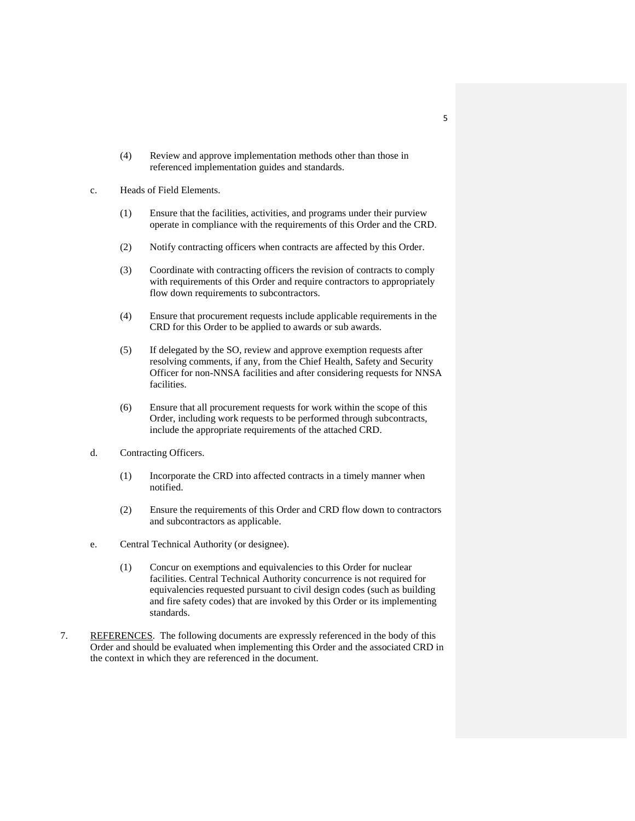- (4) Review and approve implementation methods other than those in referenced implementation guides and standards.
- c. Heads of Field Elements.
	- (1) Ensure that the facilities, activities, and programs under their purview operate in compliance with the requirements of this Order and the CRD.
	- (2) Notify contracting officers when contracts are affected by this Order.
	- (3) Coordinate with contracting officers the revision of contracts to comply with requirements of this Order and require contractors to appropriately flow down requirements to subcontractors.
	- (4) Ensure that procurement requests include applicable requirements in the CRD for this Order to be applied to awards or sub awards.
	- (5) If delegated by the SO, review and approve exemption requests after resolving comments, if any, from the Chief Health, Safety and Security Officer for non-NNSA facilities and after considering requests for NNSA facilities.
	- (6) Ensure that all procurement requests for work within the scope of this Order, including work requests to be performed through subcontracts, include the appropriate requirements of the attached CRD.
- d. Contracting Officers.
	- (1) Incorporate the CRD into affected contracts in a timely manner when notified.
	- (2) Ensure the requirements of this Order and CRD flow down to contractors and subcontractors as applicable.
- e. Central Technical Authority (or designee).
	- (1) Concur on exemptions and equivalencies to this Order for nuclear facilities. Central Technical Authority concurrence is not required for equivalencies requested pursuant to civil design codes (such as building and fire safety codes) that are invoked by this Order or its implementing standards.
- 7. REFERENCES. The following documents are expressly referenced in the body of this Order and should be evaluated when implementing this Order and the associated CRD in the context in which they are referenced in the document.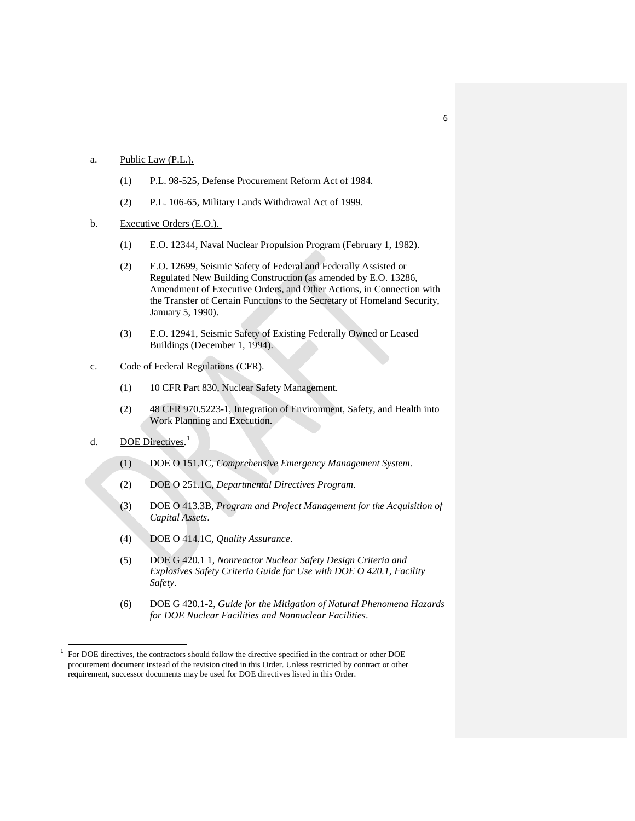#### a. Public Law (P.L.).

- (1) P.L. 98-525, Defense Procurement Reform Act of 1984.
- (2) P.L. 106-65, Military Lands Withdrawal Act of 1999.
- b. Executive Orders (E.O.).
	- (1) E.O. 12344, Naval Nuclear Propulsion Program (February 1, 1982).
	- (2) E.O. 12699, Seismic Safety of Federal and Federally Assisted or Regulated New Building Construction (as amended by E.O. 13286, Amendment of Executive Orders, and Other Actions, in Connection with the Transfer of Certain Functions to the Secretary of Homeland Security, January 5, 1990).
	- (3) E.O. 12941, Seismic Safety of Existing Federally Owned or Leased Buildings (December 1, 1994).

#### c. Code of Federal Regulations (CFR).

- (1) 10 CFR Part 830, Nuclear Safety Management.
- (2) 48 CFR 970.5223-1, Integration of Environment, Safety, and Health into Work Planning and Execution.
- d. DOE Directives.<sup>[1](#page-11-0)</sup>
	- (1) DOE O 151.1C, *Comprehensive Emergency Management System*.
	- (2) DOE O 251.1C, *Departmental Directives Program*.
	- (3) DOE O 413.3B, *Program and Project Management for the Acquisition of Capital Assets*.
	- (4) DOE O 414.1C, *Quality Assurance*.
	- (5) DOE G 420.1 1, *Nonreactor Nuclear Safety Design Criteria and Explosives Safety Criteria Guide for Use with DOE O 420.1, Facility Safety*.
	- (6) DOE G 420.1-2, *Guide for the Mitigation of Natural Phenomena Hazards for DOE Nuclear Facilities and Nonnuclear Facilities*.

6

<span id="page-11-0"></span><sup>&</sup>lt;sup>1</sup> For DOE directives, the contractors should follow the directive specified in the contract or other DOE procurement document instead of the revision cited in this Order. Unless restricted by contract or other requirement, successor documents may be used for DOE directives listed in this Order.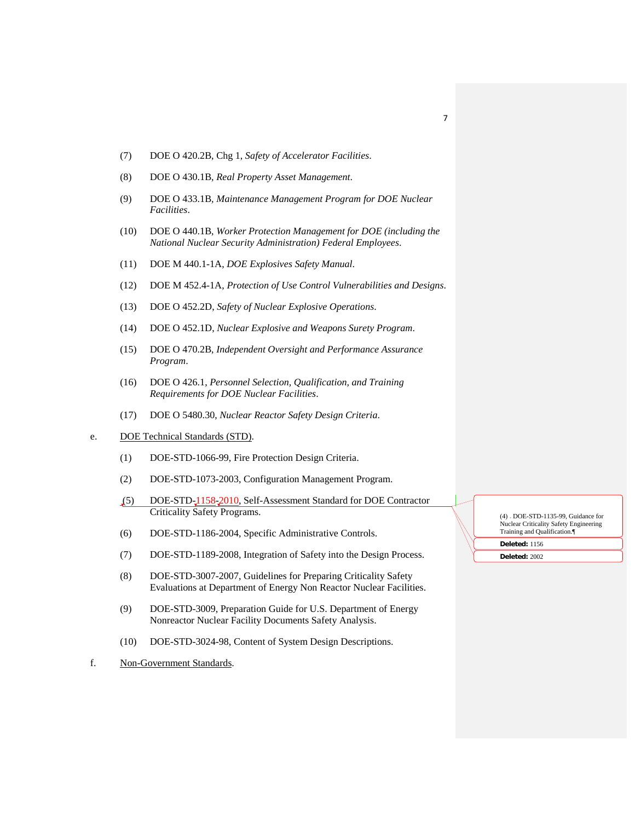- (7) DOE O 420.2B, Chg 1, *Safety of Accelerator Facilities*.
- (8) DOE O 430.1B, *Real Property Asset Management*.
- (9) DOE O 433.1B*, Maintenance Management Program for DOE Nuclear Facilities*.
- (10) DOE O 440.1B, *Worker Protection Management for DOE (including the National Nuclear Security Administration) Federal Employees*.
- (11) DOE M 440.1-1A, *DOE Explosives Safety Manual*.
- (12) DOE M 452.4-1A, *Protection of Use Control Vulnerabilities and Designs*.
- (13) DOE O 452.2D, *Safety of Nuclear Explosive Operations*.
- (14) DOE O 452.1D, *Nuclear Explosive and Weapons Surety Program*.
- (15) DOE O 470.2B, *Independent Oversight and Performance Assurance Program*.
- (16) DOE O 426.1, *Personnel Selection, Qualification, and Training Requirements for DOE Nuclear Facilities*.
- (17) DOE O 5480.30, *Nuclear Reactor Safety Design Criteria*.
- e. DOE Technical Standards (STD).
	- (1) DOE-STD-1066-99, Fire Protection Design Criteria.
	- (2) DOE-STD-1073-2003, Configuration Management Program.
	- (5) DOE-STD-1158-2010, Self-Assessment Standard for DOE Contractor Criticality Safety Programs.
	- (6) DOE-STD-1186-2004, Specific Administrative Controls.
	- (7) DOE-STD-1189-2008, Integration of Safety into the Design Process.
	- (8) DOE-STD-3007-2007, Guidelines for Preparing Criticality Safety Evaluations at Department of Energy Non Reactor Nuclear Facilities.
	- (9) DOE-STD-3009, Preparation Guide for U.S. Department of Energy Nonreactor Nuclear Facility Documents Safety Analysis.
	- (10) DOE-STD-3024-98, Content of System Design Descriptions.
- f. Non-Government Standards.

(4)  $\overline{A}$  DOE-STD-1135-99, Guidance for Nuclear Criticality Safety Engineering Training and Qualification.¶

**Deleted:** 1156 **Deleted:** 2002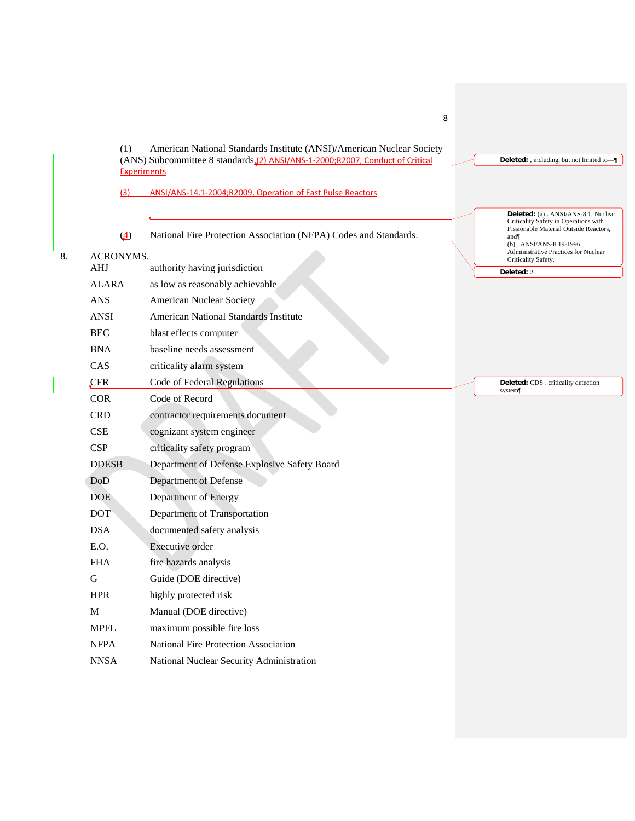8 (1) American National Standards Institute (ANSI)/American Nuclear Society (ANS) Subcommittee 8 standards.(2) ANSI/ANS-1-2000;R2007, Conduct of Critical **Experiments** (3) ANSI/ANS-14.1-2004;R2009, Operation of Fast Pulse Reactors (4) National Fire Protection Association (NFPA) Codes and Standards. 8. ACRONYMS. AHJ authority having jurisdiction ALARA as low as reasonably achievable ANS American Nuclear Society ANSI American National Standards Institute BEC blast effects computer BNA baseline needs assessment CAS criticality alarm system CFR Code of Federal Regulations COR Code of Record CRD contractor requirements document CSE cognizant system engineer CSP criticality safety program DDESB Department of Defense Explosive Safety Board DoD Department of Defense DOE Department of Energy DOT Department of Transportation DSA documented safety analysis E.O. Executive order FHA fire hazards analysis G Guide (DOE directive) HPR highly protected risk M Manual (DOE directive) MPFL maximum possible fire loss NFPA National Fire Protection Association NNSA National Nuclear Security Administration **Deleted:** , including, but not limited to—¶ Deleted: (a) ANSI/ANS-8.1, Nuclear Criticality Safety in Operations with Fissionable Material Outside Reactors, and¶  $(b)$  - ANSI/ANS-8.19-1996, Administrative Practices for Nuclear Criticality Safety. **Deleted:** 2 **Deleted:** CDS . criticality detection system¶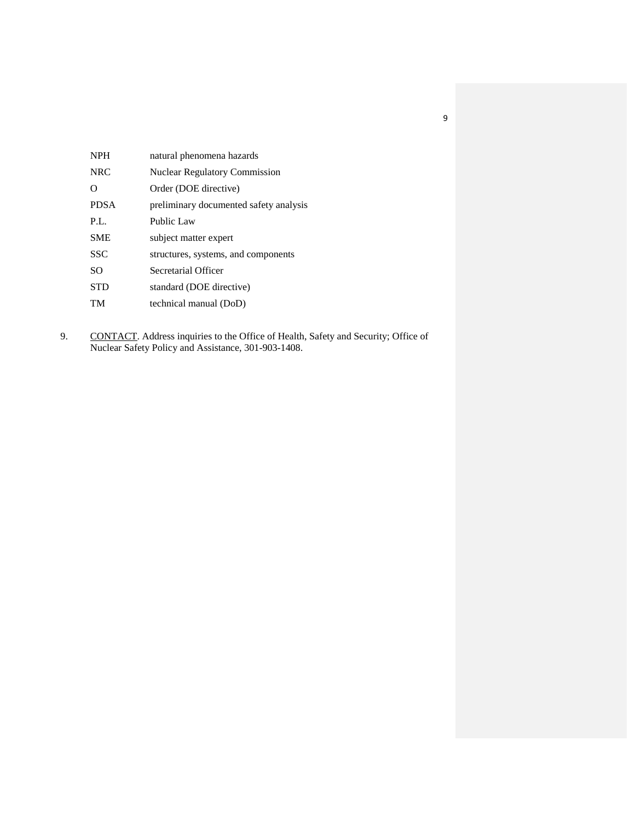| <b>NPH</b>  | natural phenomena hazards              |
|-------------|----------------------------------------|
| <b>NRC</b>  | <b>Nuclear Regulatory Commission</b>   |
| $\Omega$    | Order (DOE directive)                  |
| <b>PDSA</b> | preliminary documented safety analysis |
| P.L.        | Public Law                             |
| <b>SME</b>  | subject matter expert                  |
| <b>SSC</b>  | structures, systems, and components    |
| <b>SO</b>   | Secretarial Officer                    |
| <b>STD</b>  | standard (DOE directive)               |
| TM          | technical manual (DoD)                 |

9. CONTACT. Address inquiries to the Office of Health, Safety and Security; Office of Nuclear Safety Policy and Assistance, 301-903-1408.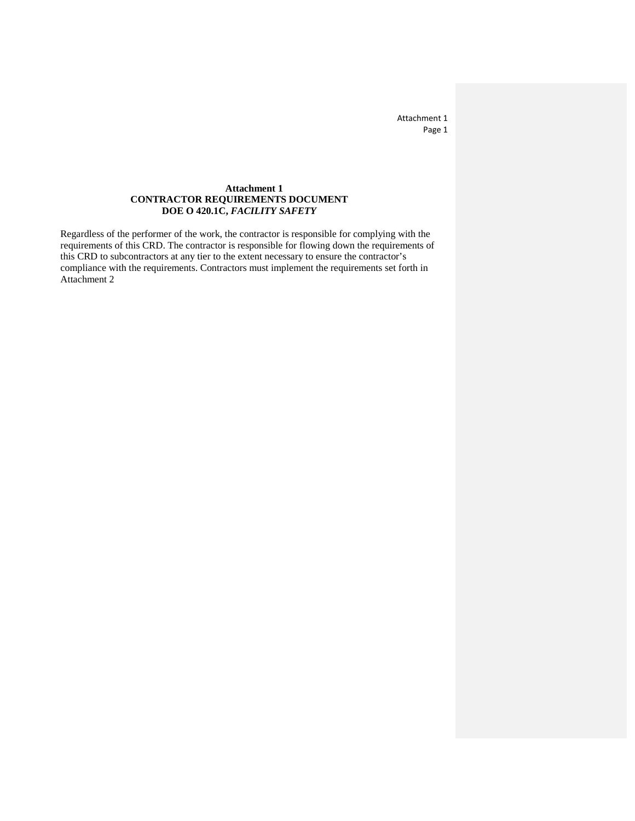Attachment 1 Page 1

### **Attachment 1 CONTRACTOR REQUIREMENTS DOCUMENT DOE O 420.1C,** *FACILITY SAFETY*

Regardless of the performer of the work, the contractor is responsible for complying with the requirements of this CRD. The contractor is responsible for flowing down the requirements of this CRD to subcontractors at any tier to the extent necessary to ensure the contractor's compliance with the requirements. Contractors must implement the requirements set forth in Attachment 2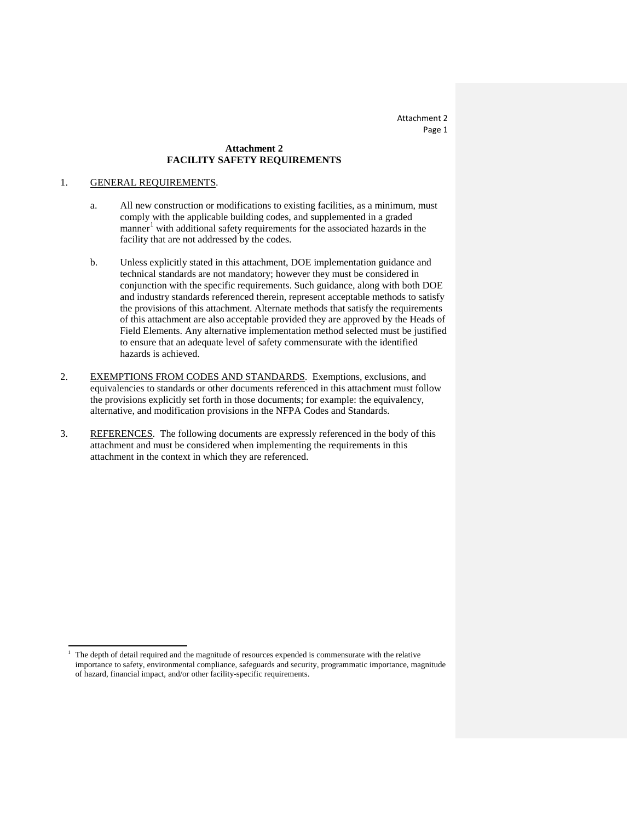### **Attachment 2 FACILITY SAFETY REQUIREMENTS**

#### 1. GENERAL REQUIREMENTS.

l

- a. All new construction or modifications to existing facilities, as a minimum, must comply with the applicable building codes, and supplemented in a graded manner<sup>[1](#page-18-0)</sup> with additional safety requirements for the associated hazards in the facility that are not addressed by the codes.
- b. Unless explicitly stated in this attachment, DOE implementation guidance and technical standards are not mandatory; however they must be considered in conjunction with the specific requirements. Such guidance, along with both DOE and industry standards referenced therein, represent acceptable methods to satisfy the provisions of this attachment. Alternate methods that satisfy the requirements of this attachment are also acceptable provided they are approved by the Heads of Field Elements. Any alternative implementation method selected must be justified to ensure that an adequate level of safety commensurate with the identified hazards is achieved.
- 2. EXEMPTIONS FROM CODES AND STANDARDS. Exemptions, exclusions, and equivalencies to standards or other documents referenced in this attachment must follow the provisions explicitly set forth in those documents; for example: the equivalency, alternative, and modification provisions in the NFPA Codes and Standards.
- 3. REFERENCES. The following documents are expressly referenced in the body of this attachment and must be considered when implementing the requirements in this attachment in the context in which they are referenced.

<span id="page-18-0"></span><sup>1</sup> The depth of detail required and the magnitude of resources expended is commensurate with the relative importance to safety, environmental compliance, safeguards and security, programmatic importance, magnitude of hazard, financial impact, and/or other facility-specific requirements.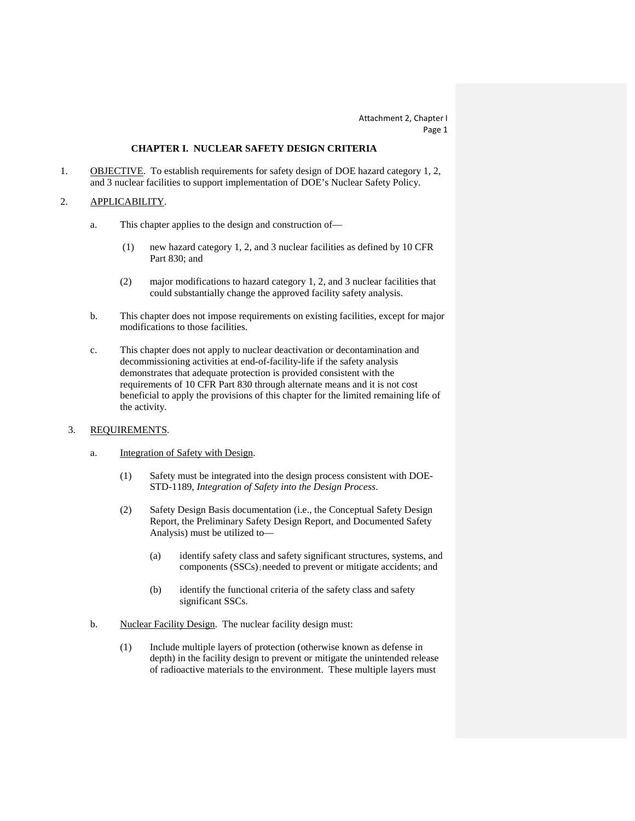### **CHAPTER I. NUCLEAR SAFETY DESIGN CRITERIA**

1. OBJECTIVE. To establish requirements for safety design of DOE hazard category 1, 2, and 3 nuclear facilities to support implementation of DOE's Nuclear Safety Policy.

#### 2. APPLICABILITY.

- a. This chapter applies to the design and construction of—
	- (1) new hazard category 1, 2, and 3 nuclear facilities as defined by 10 CFR Part 830; and
	- (2) major modifications to hazard category 1, 2, and 3 nuclear facilities that could substantially change the approved facility safety analysis.
- b. This chapter does not impose requirements on existing facilities, except for major modifications to those facilities.
- c. This chapter does not apply to nuclear deactivation or decontamination and decommissioning activities at end-of-facility-life if the safety analysis demonstrates that adequate protection is provided consistent with the requirements of 10 CFR Part 830 through alternate means and it is not cost beneficial to apply the provisions of this chapter for the limited remaining life of the activity.

#### 3. REQUIREMENTS.

- a. Integration of Safety with Design.
	- (1) Safety must be integrated into the design process consistent with DOE-STD-1189, *Integration of Safety into the Design Process*.
	- (2) Safety Design Basis documentation (i.e., the Conceptual Safety Design Report, the Preliminary Safety Design Report, and Documented Safety Analysis) must be utilized to—
		- (a) identify safety class and safety significant structures, systems, and components (SSCs);needed to prevent or mitigate accidents; and
		- (b) identify the functional criteria of the safety class and safety significant SSCs.
- b. Nuclear Facility Design. The nuclear facility design must:
	- (1) Include multiple layers of protection (otherwise known as defense in depth) in the facility design to prevent or mitigate the unintended release of radioactive materials to the environment. These multiple layers must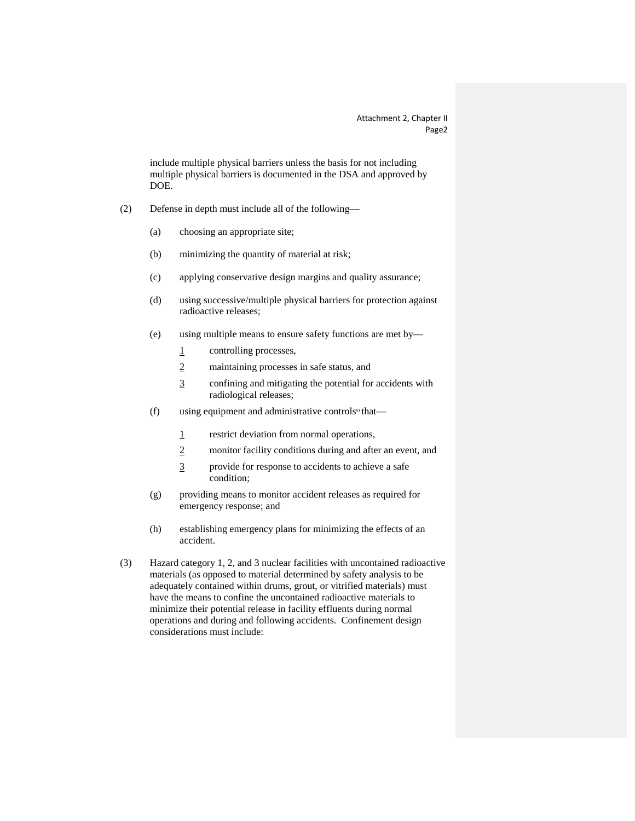include multiple physical barriers unless the basis for not including multiple physical barriers is documented in the DSA and approved by DOE.

- (2) Defense in depth must include all of the following—
	- (a) choosing an appropriate site;
	- (b) minimizing the quantity of material at risk;
	- (c) applying conservative design margins and quality assurance;
	- (d) using successive/multiple physical barriers for protection against radioactive releases;
	- (e) using multiple means to ensure safety functions are met by—
		- 1 controlling processes,
		- 2 maintaining processes in safe status, and
		- 3 confining and mitigating the potential for accidents with radiological releases;
	- (f) using equipment and administrative controls<sup>81</sup> that—
		- 1 restrict deviation from normal operations,
		- 2 monitor facility conditions during and after an event, and
		- 3 provide for response to accidents to achieve a safe condition;
	- (g) providing means to monitor accident releases as required for emergency response; and
	- (h) establishing emergency plans for minimizing the effects of an accident.
- (3) Hazard category 1, 2, and 3 nuclear facilities with uncontained radioactive materials (as opposed to material determined by safety analysis to be adequately contained within drums, grout, or vitrified materials) must have the means to confine the uncontained radioactive materials to minimize their potential release in facility effluents during normal operations and during and following accidents. Confinement design considerations must include: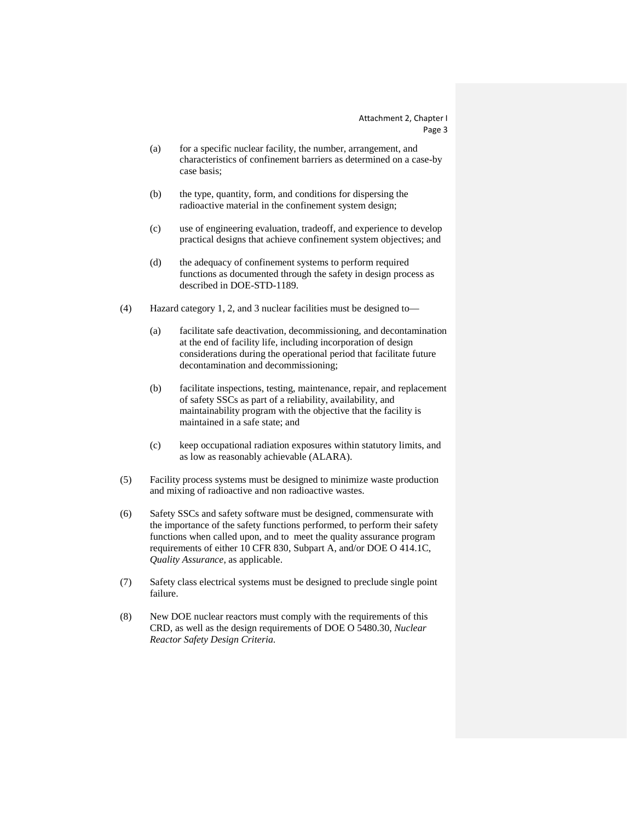- (a) for a specific nuclear facility, the number, arrangement, and characteristics of confinement barriers as determined on a case-by case basis;
- (b) the type, quantity, form, and conditions for dispersing the radioactive material in the confinement system design;
- (c) use of engineering evaluation, tradeoff, and experience to develop practical designs that achieve confinement system objectives; and
- (d) the adequacy of confinement systems to perform required functions as documented through the safety in design process as described in DOE-STD-1189.
- (4) Hazard category 1, 2, and 3 nuclear facilities must be designed to—
	- (a) facilitate safe deactivation, decommissioning, and decontamination at the end of facility life, including incorporation of design considerations during the operational period that facilitate future decontamination and decommissioning;
	- (b) facilitate inspections, testing, maintenance, repair, and replacement of safety SSCs as part of a reliability, availability, and maintainability program with the objective that the facility is maintained in a safe state; and
	- (c) keep occupational radiation exposures within statutory limits, and as low as reasonably achievable (ALARA).
- (5) Facility process systems must be designed to minimize waste production and mixing of radioactive and non radioactive wastes.
- (6) Safety SSCs and safety software must be designed, commensurate with the importance of the safety functions performed, to perform their safety functions when called upon, and to meet the quality assurance program requirements of either 10 CFR 830, Subpart A, and/or DOE O 414.1C, *Quality Assurance*, as applicable.
- (7) Safety class electrical systems must be designed to preclude single point failure.
- (8) New DOE nuclear reactors must comply with the requirements of this CRD, as well as the design requirements of DOE O 5480.30, *Nuclear Reactor Safety Design Criteria.*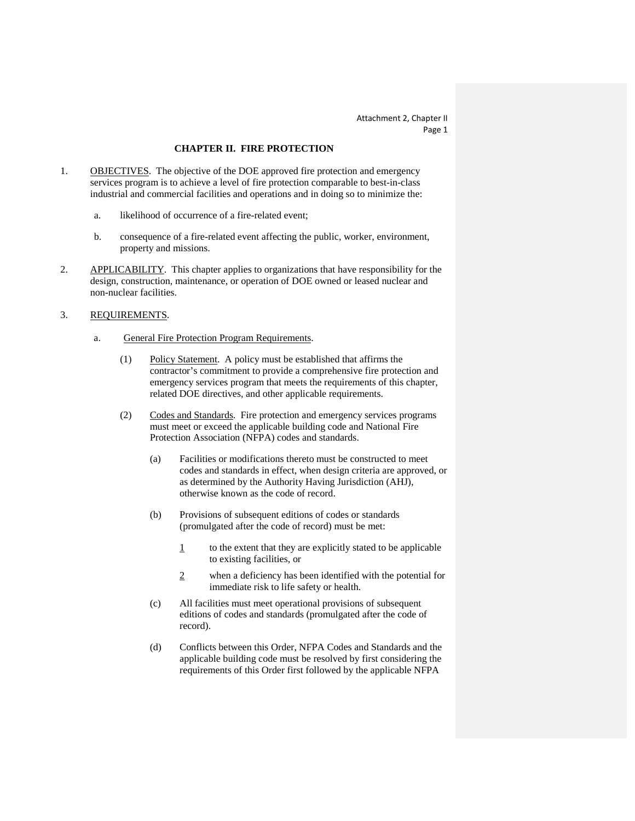### **CHAPTER II. FIRE PROTECTION**

- 1. **OBJECTIVES**. The objective of the DOE approved fire protection and emergency services program is to achieve a level of fire protection comparable to best-in-class industrial and commercial facilities and operations and in doing so to minimize the:
	- a. likelihood of occurrence of a fire-related event;
	- b. consequence of a fire-related event affecting the public, worker, environment, property and missions.
- 2. APPLICABILITY. This chapter applies to organizations that have responsibility for the design, construction, maintenance, or operation of DOE owned or leased nuclear and non-nuclear facilities.

#### 3. REQUIREMENTS.

- a. General Fire Protection Program Requirements.
	- (1) Policy Statement. A policy must be established that affirms the contractor's commitment to provide a comprehensive fire protection and emergency services program that meets the requirements of this chapter, related DOE directives, and other applicable requirements.
	- (2) Codes and Standards . Fire protection and emergency services programs must meet or exceed the applicable building code and National Fire Protection Association (NFPA) codes and standards.
		- (a) Facilities or modifications thereto must be constructed to meet codes and standards in effect, when design criteria are approved, or as determined by the Authority Having Jurisdiction (AHJ), otherwise known as the code of record.
		- (b) Provisions of subsequent editions of codes or standards (promulgated after the code of record) must be met:
			- $\frac{1}{1}$  to the extent that they are explicitly stated to be applicable to existing facilities, or
			- 2 when a deficiency has been identified with the potential for immediate risk to life safety or health.
		- (c) All facilities must meet operational provisions of subsequent editions of codes and standards (promulgated after the code of record).
		- (d) Conflicts between this Order, NFPA Codes and Standards and the applicable building code must be resolved by first considering the requirements of this Order first followed by the applicable NFPA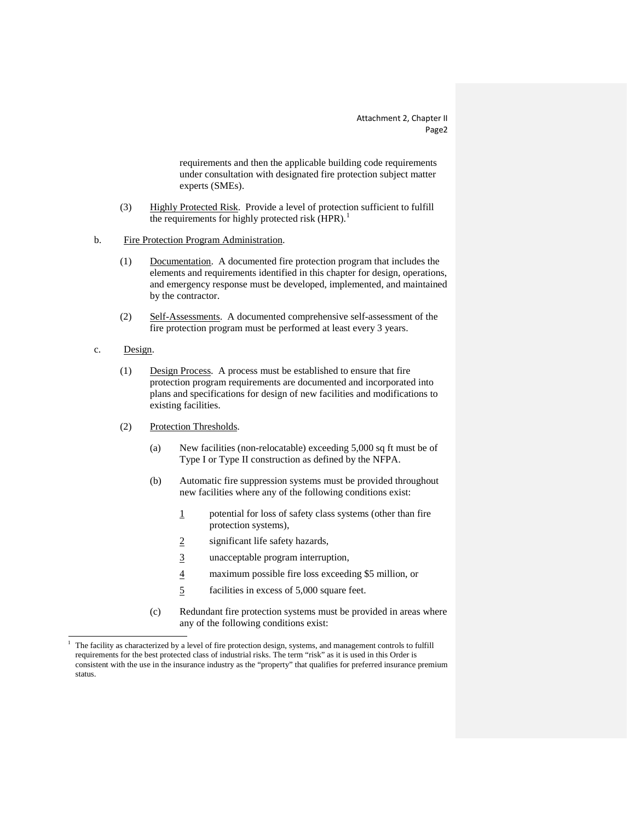requirements and then the applicable building code requirements under consultation with designated fire protection subject matter experts (SMEs).

- (3) Highly Protected Risk. Provide a level of protection sufficient to fulfill the requirements for highly protected risk  $(HPR)$ .<sup>[1](#page-25-0)</sup>
- b. Fire Protection Program Administration.
	- (1) Documentation. A documented fire protection program that includes the elements and requirements identified in this chapter for design, operations, and emergency response must be developed, implemented, and maintained by the contractor.
	- (2) Self-Assessments. A documented comprehensive self-assessment of the fire protection program must be performed at least every 3 years.
- c. Design.

1

- (1) Design Process. A process must be established to ensure that fire protection program requirements are documented and incorporated into plans and specifications for design of new facilities and modifications to existing facilities.
- (2) Protection Thresholds .
	- (a) New facilities (non-relocatable) exceeding 5,000 sq ft must be of Type I or Type II construction as defined by the NFPA.
	- (b) Automatic fire suppression systems must be provided throughout new facilities where any of the following conditions exist:
		- 1 potential for loss of safety class systems (other than fire protection systems),
		- 2 significant life safety hazards,
		- 3 unacceptable program interruption,
		- 4 maximum possible fire loss exceeding \$5 million, or
		- 5 facilities in excess of 5,000 square feet.
	- (c) Redundant fire protection systems must be provided in areas where any of the following conditions exist:

<span id="page-25-0"></span><sup>1</sup> The facility as characterized by a level of fire protection design, systems, and management controls to fulfill requirements for the best protected class of industrial risks. The term "risk" as it is used in this Order is consistent with the use in the insurance industry as the "property" that qualifies for preferred insurance premium status.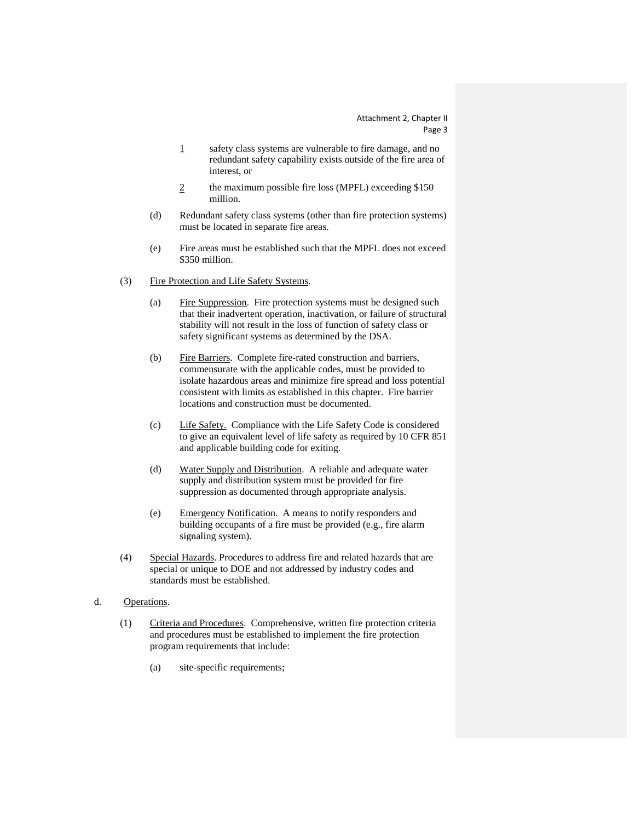- 1 safety class systems are vulnerable to fire damage, and no redundant safety capability exists outside of the fire area of interest, or
- 2 the maximum possible fire loss (MPFL) exceeding \$150 million.
- (d) Redundant safety class systems (other than fire protection systems) must be located in separate fire areas.
- (e) Fire areas must be established such that the MPFL does not exceed \$350 million.
- (3) Fire Protection and Life Safety Systems.
	- (a) Fire Suppression. Fire protection systems must be designed such that their inadvertent operation, inactivation, or failure of structural stability will not result in the loss of function of safety class or safety significant systems as determined by the DSA.
	- (b) Fire Barriers. Complete fire-rated construction and barriers, commensurate with the applicable codes, must be provided to isolate hazardous areas and minimize fire spread and loss potential consistent with limits as established in this chapter. Fire barrier locations and construction must be documented.
	- (c) Life Safety. Compliance with the Life Safety Code is considered to give an equivalent level of life safety as required by 10 CFR 851 and applicable building code for exiting.
	- (d) Water Supply and Distribution. A reliable and adequate water supply and distribution system must be provided for fire suppression as documented through appropriate analysis.
	- (e) Emergency Notification. A means to notify responders and building occupants of a fire must be provided (e.g., fire alarm signaling system).
- (4) Special Hazards. Procedures to address fire and related hazards that are special or unique to DOE and not addressed by industry codes and standards must be established.
- d. Operations .
	- (1) Criteria and Procedures . Comprehensive, written fire protection criteria and procedures must be established to implement the fire protection program requirements that include:
		- (a) site-specific requirements;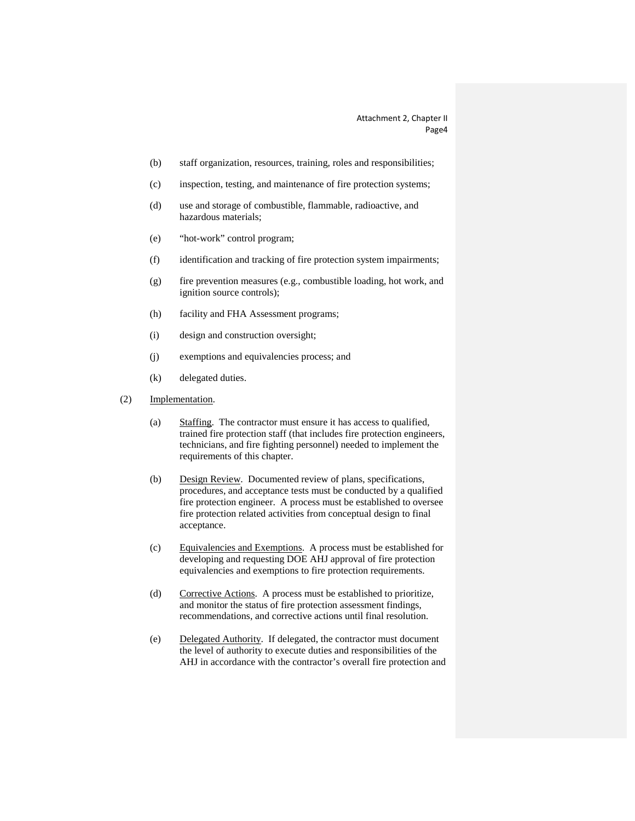- (b) staff organization, resources, training, roles and responsibilities;
- (c) inspection, testing, and maintenance of fire protection systems;
- (d) use and storage of combustible, flammable, radioactive, and hazardous materials;
- (e) "hot-work" control program;
- (f) identification and tracking of fire protection system impairments;
- (g) fire prevention measures (e.g., combustible loading, hot work, and ignition source controls);
- (h) facility and FHA Assessment programs;
- (i) design and construction oversight;
- (j) exemptions and equivalencies process; and
- (k) delegated duties.
- (2) Implementation.
	- (a) Staffing. The contractor must ensure it has access to qualified, trained fire protection staff (that includes fire protection engineers, technicians, and fire fighting personnel) needed to implement the requirements of this chapter.
	- (b) Design Review. Documented review of plans, specifications, procedures, and acceptance tests must be conducted by a qualified fire protection engineer. A process must be established to oversee fire protection related activities from conceptual design to final acceptance.
	- (c) Equivalencies and Exemptions. A process must be established for developing and requesting DOE AHJ approval of fire protection equivalencies and exemptions to fire protection requirements.
	- (d) Corrective Actions. A process must be established to prioritize, and monitor the status of fire protection assessment findings, recommendations, and corrective actions until final resolution.
	- (e) Delegated Authority. If delegated, the contractor must document the level of authority to execute duties and responsibilities of the AHJ in accordance with the contractor's overall fire protection and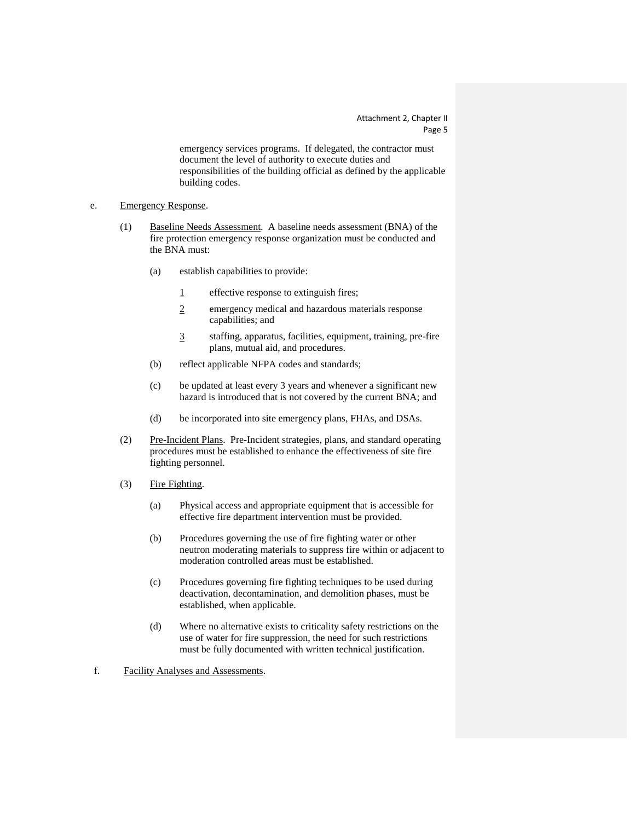emergency services programs. If delegated, the contractor must document the level of authority to execute duties and responsibilities of the building official as defined by the applicable building codes.

#### e. Emergency Response.

- (1) Baseline Needs Assessment. A baseline needs assessment (BNA) of the fire protection emergency response organization must be conducted and the BNA must:
	- (a) establish capabilities to provide:
		- 1 effective response to extinguish fires;
		- 2 emergency medical and hazardous materials response capabilities; and
		- 3 staffing, apparatus, facilities, equipment, training, pre-fire plans, mutual aid, and procedures.
	- (b) reflect applicable NFPA codes and standards;
	- (c) be updated at least every 3 years and whenever a significant new hazard is introduced that is not covered by the current BNA; and
	- (d) be incorporated into site emergency plans, FHAs, and DSAs.
- (2) Pre-Incident Plans. Pre-Incident strategies, plans, and standard operating procedures must be established to enhance the effectiveness of site fire fighting personnel.
- (3) Fire Fighting.
	- (a) Physical access and appropriate equipment that is accessible for effective fire department intervention must be provided.
	- (b) Procedures governing the use of fire fighting water or other neutron moderating materials to suppress fire within or adjacent to moderation controlled areas must be established.
	- (c) Procedures governing fire fighting techniques to be used during deactivation, decontamination, and demolition phases, must be established, when applicable.
	- (d) Where no alternative exists to criticality safety restrictions on the use of water for fire suppression, the need for such restrictions must be fully documented with written technical justification.

f. Facility Analyses and Assessments.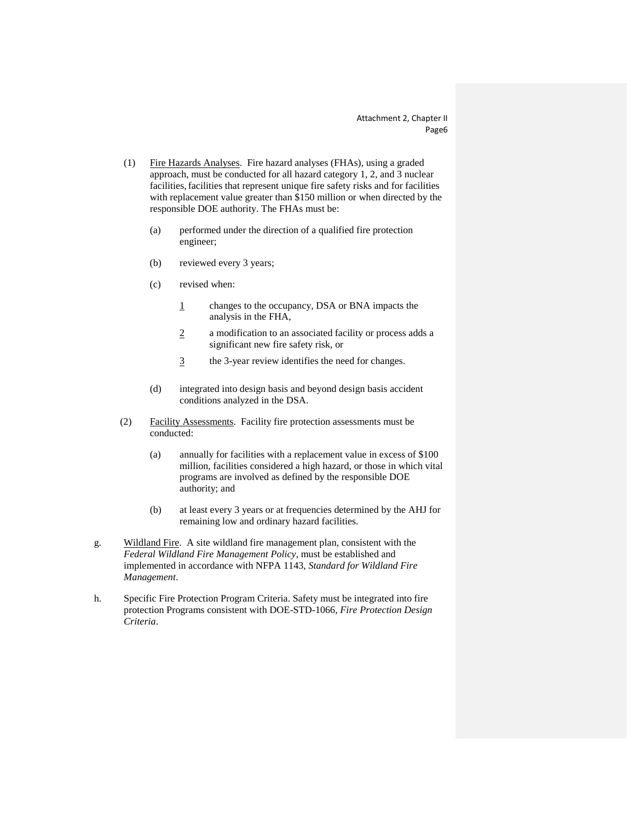- (1) Fire Hazards Analyses. Fire hazard analyses (FHAs), using a graded approach, must be conducted for all hazard category 1, 2, and 3 nuclear facilities, facilities that represent unique fire safety risks and for facilities with replacement value greater than \$150 million or when directed by the responsible DOE authority. The FHAs must be:
	- (a) performed under the direction of a qualified fire protection engineer;
	- (b) reviewed every 3 years;
	- (c) revised when:
		- 1 changes to the occupancy, DSA or BNA impacts the analysis in the FHA,
		- 2 a modification to an associated facility or process adds a significant new fire safety risk, or
		- 3 the 3-year review identifies the need for changes.
	- (d) integrated into design basis and beyond design basis accident conditions analyzed in the DSA.
- (2) Facility Assessments. Facility fire protection assessments must be conducted:
	- (a) annually for facilities with a replacement value in excess of \$100 million, facilities considered a high hazard, or those in which vital programs are involved as defined by the responsible DOE authority; and
	- (b) at least every 3 years or at frequencies determined by the AHJ for remaining low and ordinary hazard facilities.
- g. Wildland Fire. A site wildland fire management plan, consistent with the *Federal Wildland Fire Management Policy*, must be established and implemented in accordance with NFPA 1143, *Standard for Wildland Fire Management*.
- h. Specific Fire Protection Program Criteria. Safety must be integrated into fire protection Programs consistent with DOE-STD-1066, *Fire Protection Design Criteria*.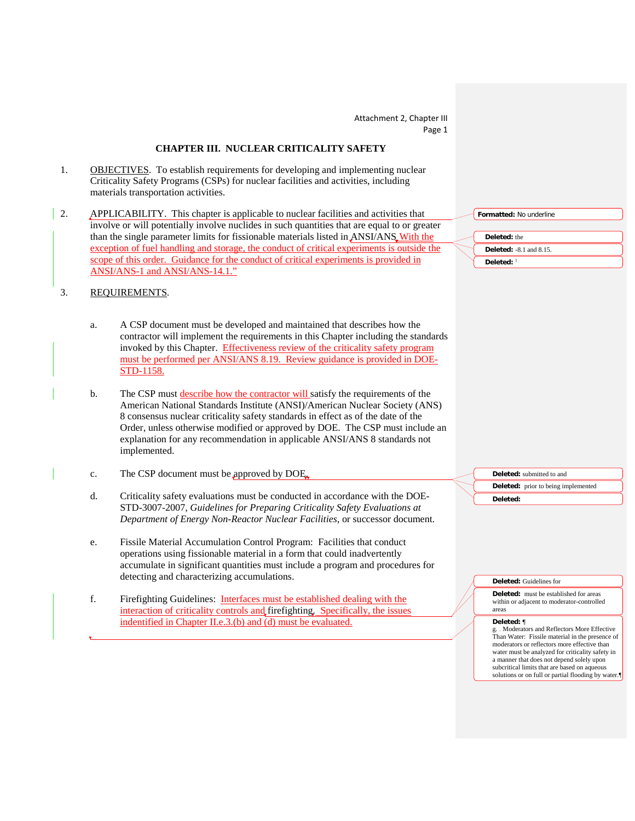### **CHAPTER III. NUCLEAR CRITICALITY SAFETY**

- 1. **OBJECTIVES**. To establish requirements for developing and implementing nuclear Criticality Safety Programs (CSPs) for nuclear facilities and activities, including materials transportation activities.
- 2. APPLICABILITY. This chapter is applicable to nuclear facilities and activities that involve or will potentially involve nuclides in such quantities that are equal t[o](#page-31-0) or greater than the single parameter limits for fissionable materials listed in ANSI/ANS With the exception of fuel handling and storage, the conduct of critical experiments is outside the scope of this order. Guidance for the conduct of critical experiments is provided in ANSI/ANS-1 and ANSI/ANS-14.1."

#### 3. REQUIREMENTS.

- a. A CSP document must be developed and maintained that describes how the contractor will implement the requirements in this Chapter including the standards invoked by this Chapter. Effectiveness review of the criticality safety program must be performed per ANSI/ANS 8.19. Review guidance is provided in DOE-STD-1158.
- b. The CSP must describe how the contractor will satisfy the requirements of the American National Standards Institute (ANSI)/American Nuclear Society (ANS) 8 consensus nuclear criticality safety standards in effect as of the date of the Order, unless otherwise modified or approved by DOE. The CSP must include an explanation for any recommendation in applicable ANSI/ANS 8 standards not implemented.
- c. The CSP document must be approved by DOE.
- d. Criticality safety evaluations must be conducted in accordance with the DOE-STD-3007-2007, *Guidelines for Preparing Criticality Safety Evaluations at Department of Energy Non-Reactor Nuclear Facilities*, or successor document.
- e. Fissile Material Accumulation Control Program: Facilities that conduct operations using fissionable material in a form that could inadvertently accumulate in significant quantities must include a program and procedures for detecting and characterizing accumulations.
- f. Firefighting Guidelines: Interfaces must be established dealing with the interaction of criticality controls and firefighting. Specifically, the issues indentified in Chapter II.e.3.(b) and (d) must be evaluated.

**Formatted:** No underline **Deleted:** the **Deleted:** -8.1 and 8.15. **Deleted:** <sup>1</sup>

> **Deleted:** submitted to and **Deleted:** prior to being implemented **Deleted:**

**Deleted:** Guidelines for

**Deleted:** must be established for areas within or adjacent to moderator-controlled areas

#### **Deleted:** ¶

g. Moderators and Reflectors More Effective Than Water: Fissile material in the presence of moderators or reflectors more effective than water must be analyzed for criticality safety in a manner that does not depend solely upon subcritical limits that are based on aqueous solutions or on full or partial flooding by water.¶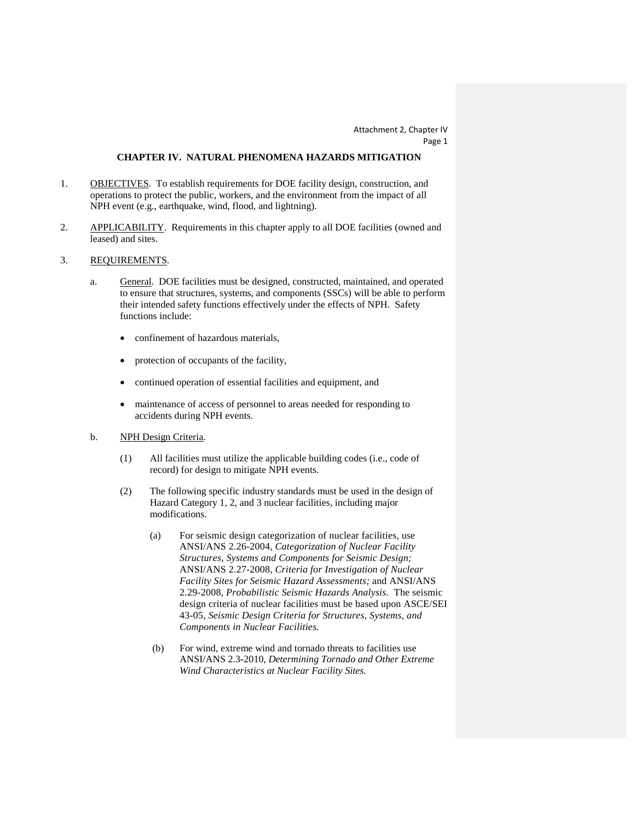#### **CHAPTER IV. NATURAL PHENOMENA HAZARDS MITIGATION**

- 1. **OBJECTIVES**. To establish requirements for DOE facility design, construction, and operations to protect the public, workers, and the environment from the impact of all NPH event (e.g., earthquake, wind, flood, and lightning).
- 2. APPLICABILITY. Requirements in this chapter apply to all DOE facilities (owned and leased) and sites.
- 3. REQUIREMENTS .
	- a. General. DOE facilities must be designed, constructed, maintained, and operated to ensure that structures, systems, and components (SSCs) will be able to perform their intended safety functions effectively under the effects of NPH. Safety functions include:
		- confinement of hazardous materials,
		- protection of occupants of the facility,
		- continued operation of essential facilities and equipment, and
		- maintenance of access of personnel to areas needed for responding to accidents during NPH events.
	- b. NPH Design Criteria.
		- (1) All facilities must utilize the applicable building codes (i.e., code of record) for design to mitigate NPH events.
		- (2) The following specific industry standards must be used in the design of Hazard Category 1, 2, and 3 nuclear facilities, including major modifications.
			- (a) For seismic design categorization of nuclear facilities, use ANSI/ANS 2.26-2004, *Categorization of Nuclear Facility Structures, Systems and Components for Seismic Design;*  ANSI/ANS 2.27-2008*, Criteria for Investigation of Nuclear Facility Sites for Seismic Hazard Assessments;* and ANSI/ANS 2.29-2008*, Probabilistic Seismic Hazards Analysis.* The seismic design criteria of nuclear facilities must be based upon ASCE/SEI 43-05*, Seismic Design Criteria for Structures, Systems, and Components in Nuclear Facilities.*
			- (b) For wind, extreme wind and tornado threats to facilities use ANSI/ANS 2.3**-**2010, *Determining Tornado and Other Extreme Wind Characteristics at Nuclear Facility Sites.*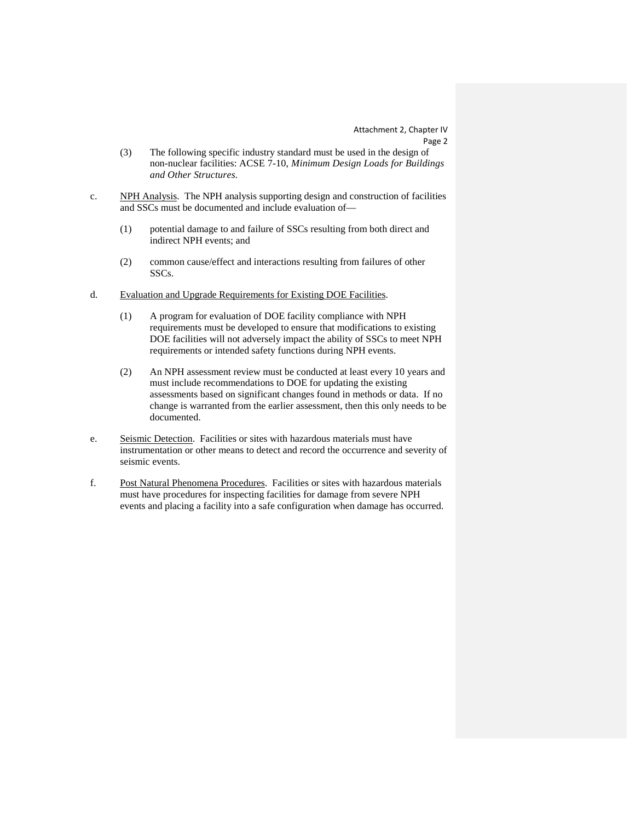- (3) The following specific industry standard must be used in the design of non-nuclear facilities: ACSE 7-10, *Minimum Design Loads for Buildings and Other Structures.*
- c. NPH Analysis. The NPH analysis supporting design and construction of facilities and SSCs must be documented and include evaluation of—
	- (1) potential damage to and failure of SSCs resulting from both direct and indirect NPH events; and
	- (2) common cause/effect and interactions resulting from failures of other SSCs.
- d. Evaluation and Upgrade Requirements for Existing DOE Facilities.
	- (1) A program for evaluation of DOE facility compliance with NPH requirements must be developed to ensure that modifications to existing DOE facilities will not adversely impact the ability of SSCs to meet NPH requirements or intended safety functions during NPH events.
	- (2) An NPH assessment review must be conducted at least every 10 years and must include recommendations to DOE for updating the existing assessments based on significant changes found in methods or data. If no change is warranted from the earlier assessment, then this only needs to be documented.
- e. Seismic Detection. Facilities or sites with hazardous materials must have instrumentation or other means to detect and record the occurrence and severity of seismic events.
- f. Post Natural Phenomena Procedures. Facilities or sites with hazardous materials must have procedures for inspecting facilities for damage from severe NPH events and placing a facility into a safe configuration when damage has occurred.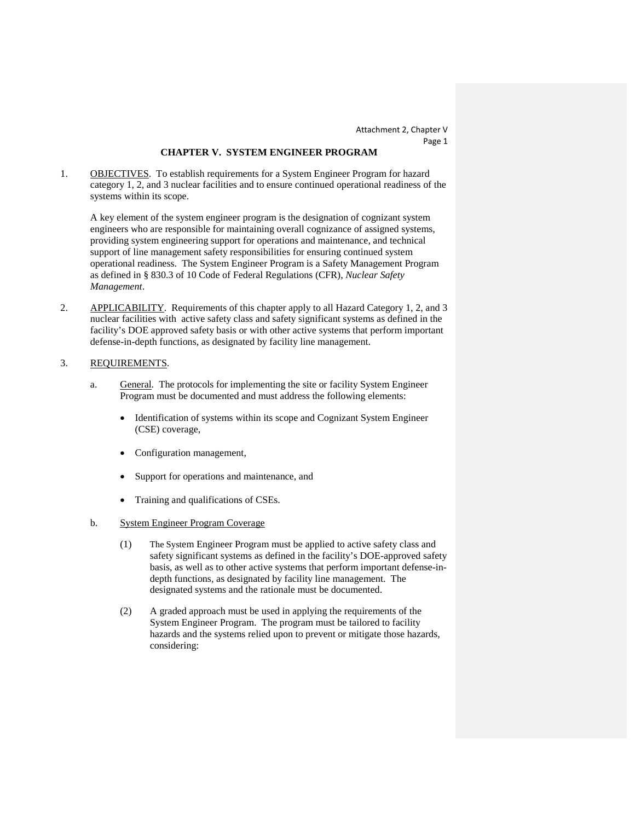#### **CHAPTER V. SYSTEM ENGINEER PROGRAM**

1. **OBJECTIVES**. To establish requirements for a System Engineer Program for hazard category 1, 2, and 3 nuclear facilities and to ensure continued operational readiness of the systems within its scope.

A key element of the system engineer program is the designation of cognizant system engineers who are responsible for maintaining overall cognizance of assigned systems, providing system engineering support for operations and maintenance, and technical support of line management safety responsibilities for ensuring continued system operational readiness. The System Engineer Program is a Safety Management Program as defined in § 830.3 of 10 Code of Federal Regulations (CFR), *Nuclear Safety Management*.

2. APPLICABILITY. Requirements of this chapter apply to all Hazard Category 1, 2, and 3 nuclear facilities with active safety class and safety significant systems as defined in the facility's DOE approved safety basis or with other active systems that perform important defense-in-depth functions, as designated by facility line management.

#### 3. REQUIREMENTS .

- a. General. The protocols for implementing the site or facility System Engineer Program must be documented and must address the following elements:
	- Identification of systems within its scope and Cognizant System Engineer (CSE) coverage,
	- Configuration management,
	- Support for operations and maintenance, and
	- Training and qualifications of CSEs.
- b. System Engineer Program Coverage
	- (1) The System Engineer Program must be applied to active safety class and safety significant systems as defined in the facility's DOE-approved safety basis, as well as to other active systems that perform important defense-indepth functions, as designated by facility line management. The designated systems and the rationale must be documented.
	- (2) A graded approach must be used in applying the requirements of the System Engineer Program. The program must be tailored to facility hazards and the systems relied upon to prevent or mitigate those hazards, considering: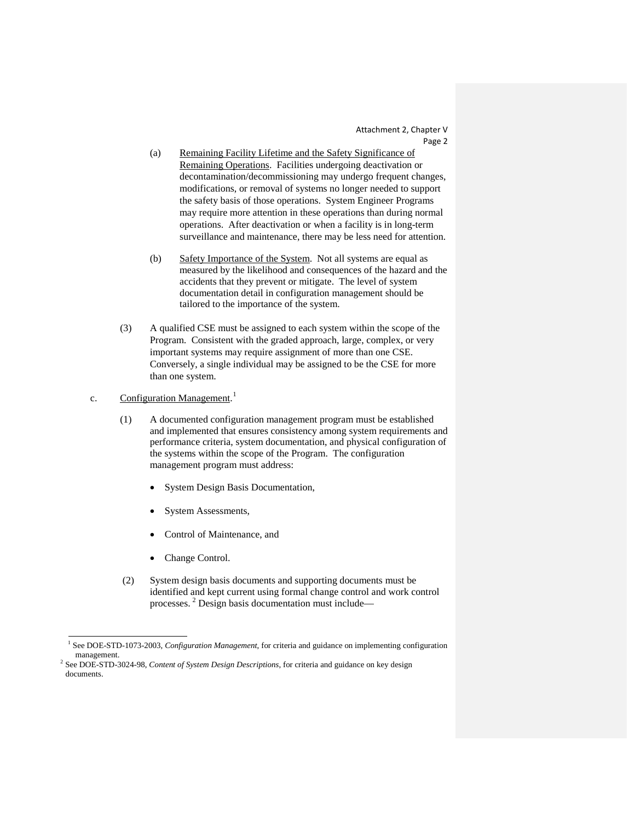- (a) Remaining Facility Lifetime and the Safety Significance of Remaining Operations. Facilities undergoing deactivation or decontamination/decommissioning may undergo frequent changes, modifications, or removal of systems no longer needed to support the safety basis of those operations. System Engineer Programs may require more attention in these operations than during normal operations. After deactivation or when a facility is in long-term surveillance and maintenance, there may be less need for attention.
- (b) Safety Importance of the System. Not all systems are equal as measured by the likelihood and consequences of the hazard and the accidents that they prevent or mitigate. The level of system documentation detail in configuration management should be tailored to the importance of the system.
- (3) A qualified CSE must be assigned to each system within the scope of the Program. Consistent with the graded approach, large, complex, or very important systems may require assignment of more than one CSE. Conversely, a single individual may be assigned to be the CSE for more than one system.
- c. Configuration Management.<sup>[1](#page-37-0)</sup>
	- (1) A documented configuration management program must be established and implemented that ensures consistency among system requirements and performance criteria, system documentation, and physical configuration of the systems within the scope of the Program. The configuration management program must address:
		- System Design Basis Documentation,
		- System Assessments,
		- Control of Maintenance, and
		- Change Control.

1

 (2) System design basis documents and supporting documents must be identified and kept current using formal change control and work control processes. [2](#page-37-1) Design basis documentation must include—

<sup>1</sup> See DOE-STD-1073-2003, *Configuration Management*, for criteria and guidance on implementing configuration management.

<sup>2</sup> See DOE-STD-3024-98, *Content of System Design Descriptions*, for criteria and guidance on key design documents.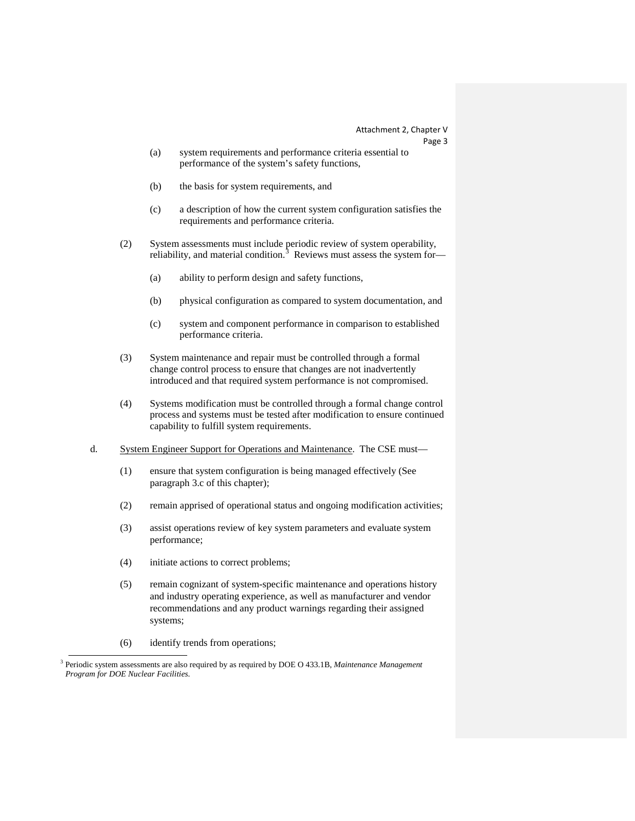Attachment 2, Chapter V

Page 3

- (a) system requirements and performance criteria essential to performance of the system's safety functions,
- (b) the basis for system requirements, and
- (c) a description of how the current system configuration satisfies the requirements and performance criteria.
- (2) System assessments must include periodic review of system operability, reliability, and material condition.<sup>[3](#page-37-1)</sup> Reviews must assess the system for-
	- (a) ability to perform design and safety functions,
	- (b) physical configuration as compared to system documentation, and
	- (c) system and component performance in comparison to established performance criteria.
- (3) System maintenance and repair must be controlled through a formal change control process to ensure that changes are not inadvertently introduced and that required system performance is not compromised.
- (4) Systems modification must be controlled through a formal change control process and systems must be tested after modification to ensure continued capability to fulfill system requirements.
- d. System Engineer Support for Operations and Maintenance. The CSE must—
	- (1) ensure that system configuration is being managed effectively (See paragraph 3.c of this chapter);
	- (2) remain apprised of operational status and ongoing modification activities;
	- (3) assist operations review of key system parameters and evaluate system performance;
	- (4) initiate actions to correct problems;
	- (5) remain cognizant of system-specific maintenance and operations history and industry operating experience, as well as manufacturer and vendor recommendations and any product warnings regarding their assigned systems;
	- (6) identify trends from operations;

 $\overline{a}$ 

<sup>3</sup> Periodic system assessments are also required by as required by DOE O 433.1B, *Maintenance Management Program for DOE Nuclear Facilities.*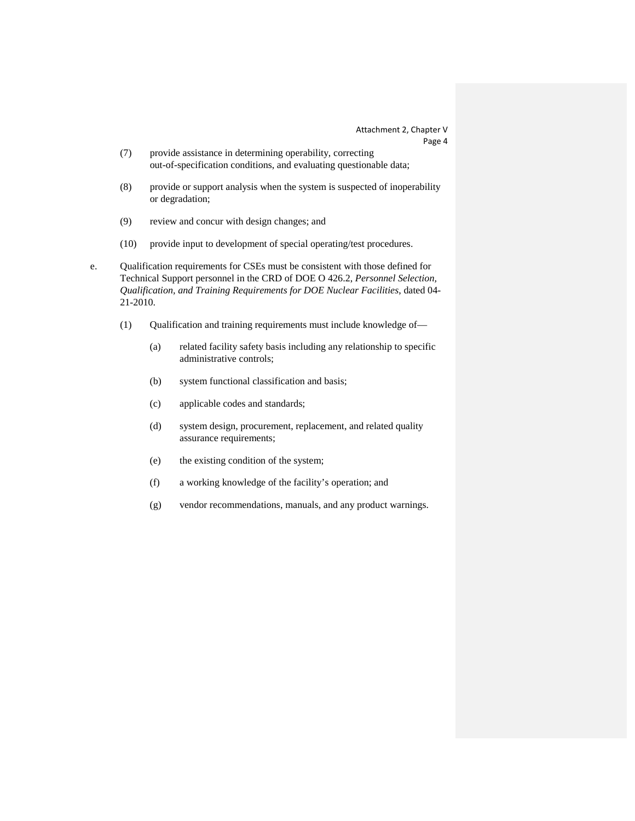- (7) provide assistance in determining operability, correcting out-of-specification conditions, and evaluating questionable data;
- (8) provide or support analysis when the system is suspected of inoperability or degradation;
- (9) review and concur with design changes; and
- (10) provide input to development of special operating/test procedures.
- <span id="page-37-1"></span><span id="page-37-0"></span>e. Qualification requirements for CSEs must be consistent with those defined for Technical Support personnel in the CRD of DOE O 426.2, *Personnel Selection, Qualification, and Training Requirements for DOE Nuclear Facilities*, dated 04- 21-2010.
	- (1) Qualification and training requirements must include knowledge of—
		- (a) related facility safety basis including any relationship to specific administrative controls;
		- (b) system functional classification and basis;
		- (c) applicable codes and standards;
		- (d) system design, procurement, replacement, and related quality assurance requirements;
		- (e) the existing condition of the system;
		- (f) a working knowledge of the facility's operation; and
		- (g) vendor recommendations, manuals, and any product warnings.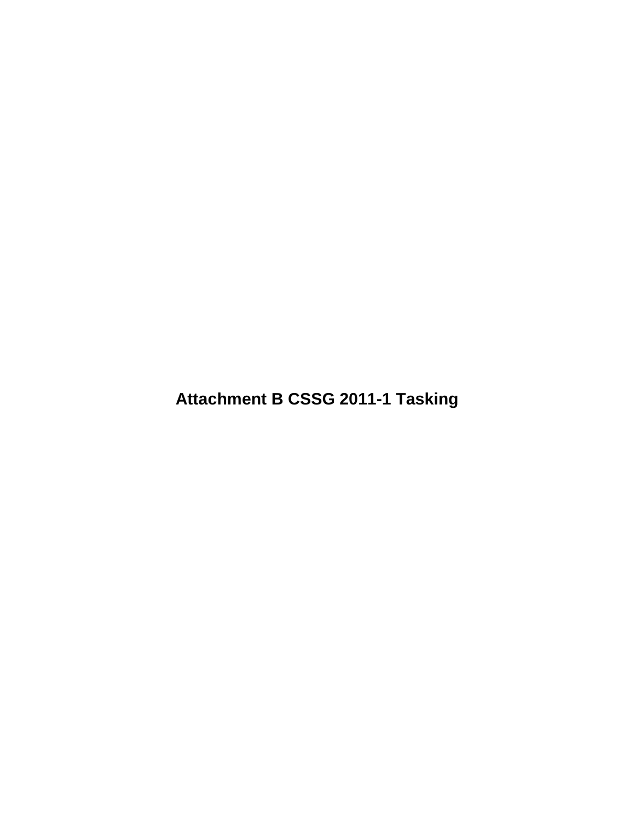**Attachment B CSSG 2011-1 Tasking**